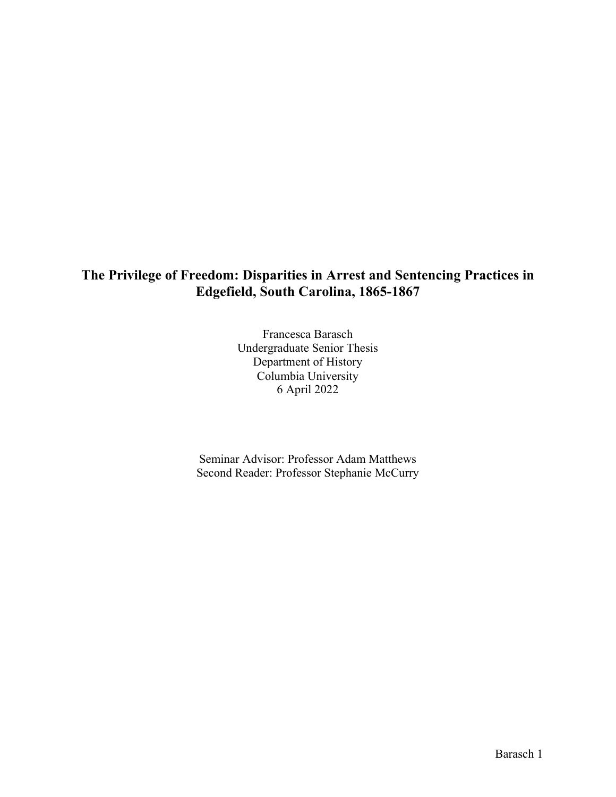# **The Privilege of Freedom: Disparities in Arrest and Sentencing Practices in Edgefield, South Carolina, 1865-1867**

Francesca Barasch Undergraduate Senior Thesis Department of History Columbia University 6 April 2022

Seminar Advisor: Professor Adam Matthews Second Reader: Professor Stephanie McCurry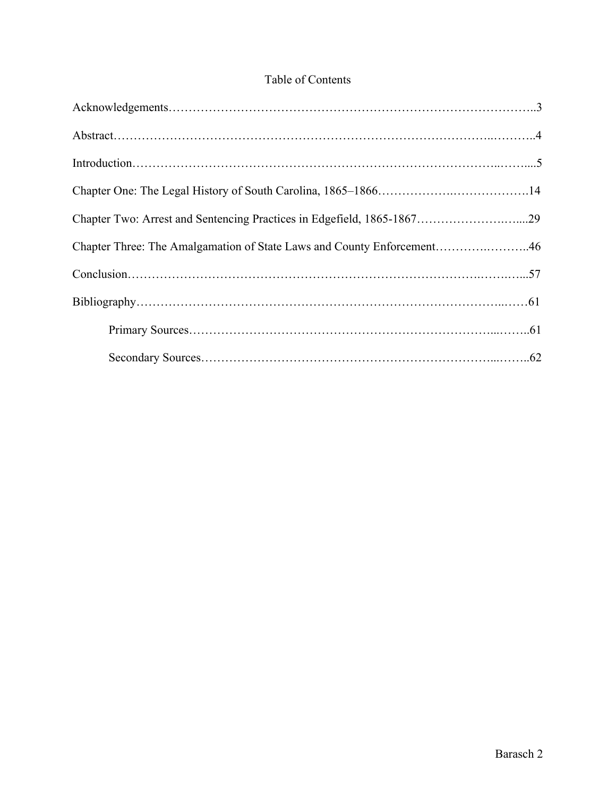# Table of Contents

| Chapter Two: Arrest and Sentencing Practices in Edgefield, 1865-186729 |  |
|------------------------------------------------------------------------|--|
| Chapter Three: The Amalgamation of State Laws and County Enforcement46 |  |
|                                                                        |  |
|                                                                        |  |
|                                                                        |  |
|                                                                        |  |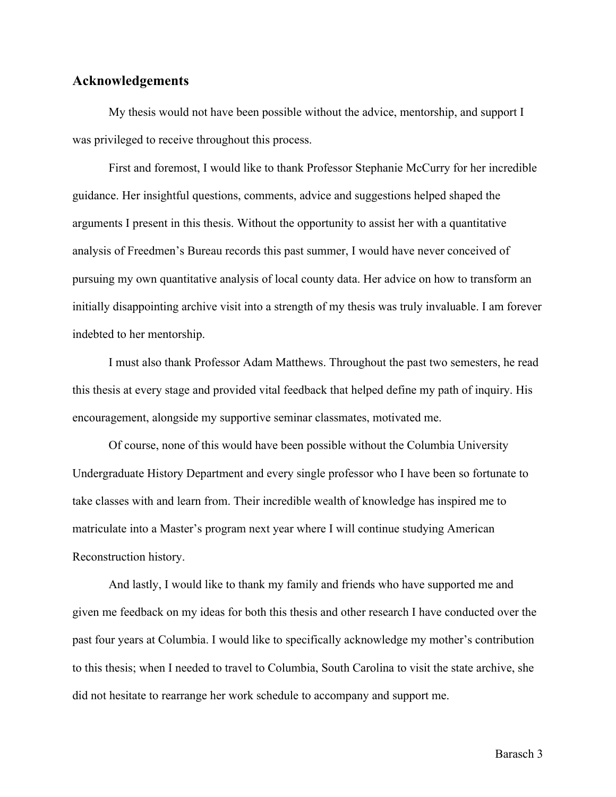### **Acknowledgements**

My thesis would not have been possible without the advice, mentorship, and support I was privileged to receive throughout this process.

First and foremost, I would like to thank Professor Stephanie McCurry for her incredible guidance. Her insightful questions, comments, advice and suggestions helped shaped the arguments I present in this thesis. Without the opportunity to assist her with a quantitative analysis of Freedmen's Bureau records this past summer, I would have never conceived of pursuing my own quantitative analysis of local county data. Her advice on how to transform an initially disappointing archive visit into a strength of my thesis was truly invaluable. I am forever indebted to her mentorship.

I must also thank Professor Adam Matthews. Throughout the past two semesters, he read this thesis at every stage and provided vital feedback that helped define my path of inquiry. His encouragement, alongside my supportive seminar classmates, motivated me.

Of course, none of this would have been possible without the Columbia University Undergraduate History Department and every single professor who I have been so fortunate to take classes with and learn from. Their incredible wealth of knowledge has inspired me to matriculate into a Master's program next year where I will continue studying American Reconstruction history.

And lastly, I would like to thank my family and friends who have supported me and given me feedback on my ideas for both this thesis and other research I have conducted over the past four years at Columbia. I would like to specifically acknowledge my mother's contribution to this thesis; when I needed to travel to Columbia, South Carolina to visit the state archive, she did not hesitate to rearrange her work schedule to accompany and support me.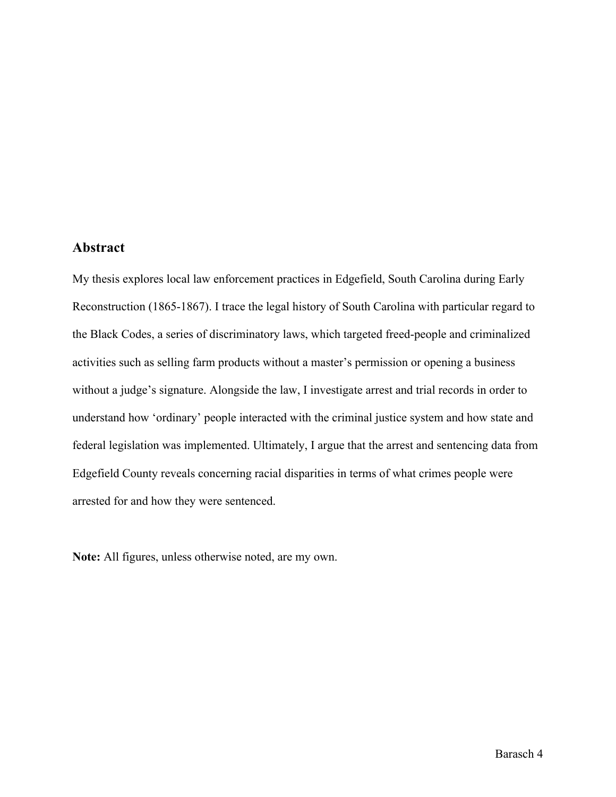### **Abstract**

My thesis explores local law enforcement practices in Edgefield, South Carolina during Early Reconstruction (1865-1867). I trace the legal history of South Carolina with particular regard to the Black Codes, a series of discriminatory laws, which targeted freed-people and criminalized activities such as selling farm products without a master's permission or opening a business without a judge's signature. Alongside the law, I investigate arrest and trial records in order to understand how 'ordinary' people interacted with the criminal justice system and how state and federal legislation was implemented. Ultimately, I argue that the arrest and sentencing data from Edgefield County reveals concerning racial disparities in terms of what crimes people were arrested for and how they were sentenced.

**Note:** All figures, unless otherwise noted, are my own.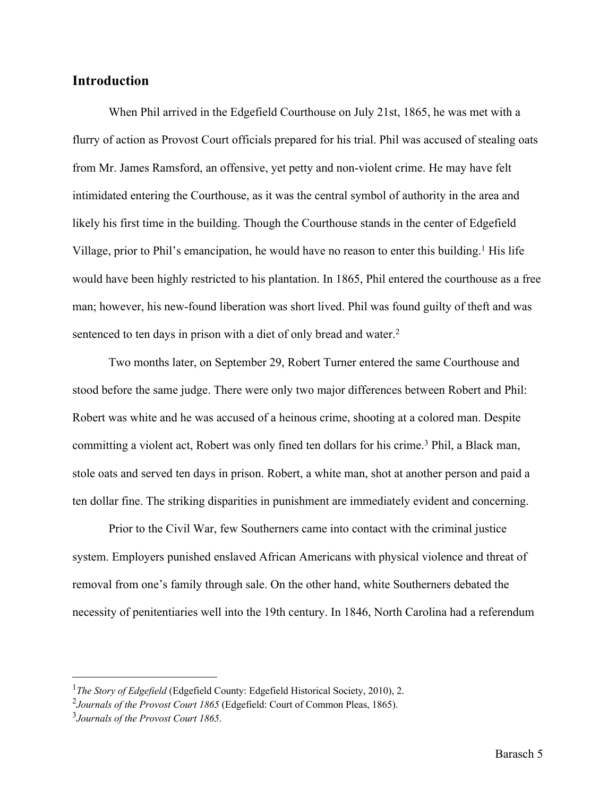## **Introduction**

When Phil arrived in the Edgefield Courthouse on July 21st, 1865, he was met with a flurry of action as Provost Court officials prepared for his trial. Phil was accused of stealing oats from Mr. James Ramsford, an offensive, yet petty and non-violent crime. He may have felt intimidated entering the Courthouse, as it was the central symbol of authority in the area and likely his first time in the building. Though the Courthouse stands in the center of Edgefield Village, prior to Phil's emancipation, he would have no reason to enter this building.<sup>1</sup> His life would have been highly restricted to his plantation. In 1865, Phil entered the courthouse as a free man; however, his new-found liberation was short lived. Phil was found guilty of theft and was sentenced to ten days in prison with a diet of only bread and water.<sup>2</sup>

Two months later, on September 29, Robert Turner entered the same Courthouse and stood before the same judge. There were only two major differences between Robert and Phil: Robert was white and he was accused of a heinous crime, shooting at a colored man. Despite committing a violent act, Robert was only fined ten dollars for his crime.<sup>3</sup> Phil, a Black man, stole oats and served ten days in prison. Robert, a white man, shot at another person and paid a ten dollar fine. The striking disparities in punishment are immediately evident and concerning.

Prior to the Civil War, few Southerners came into contact with the criminal justice system. Employers punished enslaved African Americans with physical violence and threat of removal from one's family through sale. On the other hand, white Southerners debated the necessity of penitentiaries well into the 19th century. In 1846, North Carolina had a referendum

<sup>&</sup>lt;sup>1</sup>The Story of Edgefield (Edgefield County: Edgefield Historical Society, 2010), 2.

<sup>2</sup>*Journals of the Provost Court 1865* (Edgefield: Court of Common Pleas, 1865).

<sup>3</sup>*Journals of the Provost Court 1865*.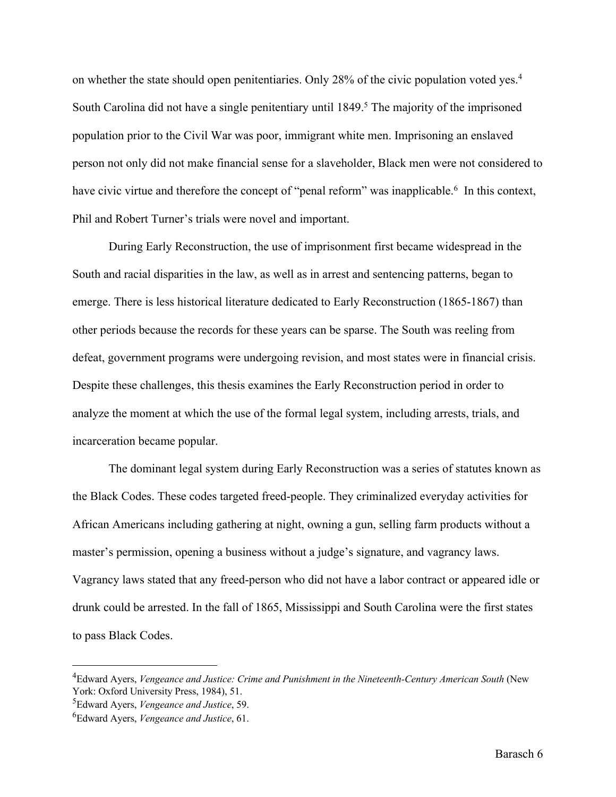on whether the state should open penitentiaries. Only 28% of the civic population voted yes.<sup>4</sup> South Carolina did not have a single penitentiary until 1849.<sup>5</sup> The majority of the imprisoned population prior to the Civil War was poor, immigrant white men. Imprisoning an enslaved person not only did not make financial sense for a slaveholder, Black men were not considered to have civic virtue and therefore the concept of "penal reform" was inapplicable.<sup>6</sup> In this context, Phil and Robert Turner's trials were novel and important.

During Early Reconstruction, the use of imprisonment first became widespread in the South and racial disparities in the law, as well as in arrest and sentencing patterns, began to emerge. There is less historical literature dedicated to Early Reconstruction (1865-1867) than other periods because the records for these years can be sparse. The South was reeling from defeat, government programs were undergoing revision, and most states were in financial crisis. Despite these challenges, this thesis examines the Early Reconstruction period in order to analyze the moment at which the use of the formal legal system, including arrests, trials, and incarceration became popular.

The dominant legal system during Early Reconstruction was a series of statutes known as the Black Codes. These codes targeted freed-people. They criminalized everyday activities for African Americans including gathering at night, owning a gun, selling farm products without a master's permission, opening a business without a judge's signature, and vagrancy laws. Vagrancy laws stated that any freed-person who did not have a labor contract or appeared idle or drunk could be arrested. In the fall of 1865, Mississippi and South Carolina were the first states to pass Black Codes.

<sup>4</sup>Edward Ayers, *Vengeance and Justice: Crime and Punishment in the Nineteenth-Century American South* (New York: Oxford University Press, 1984), 51.

<sup>5</sup>Edward Ayers, *Vengeance and Justice*, 59.

<sup>6</sup>Edward Ayers, *Vengeance and Justice*, 61.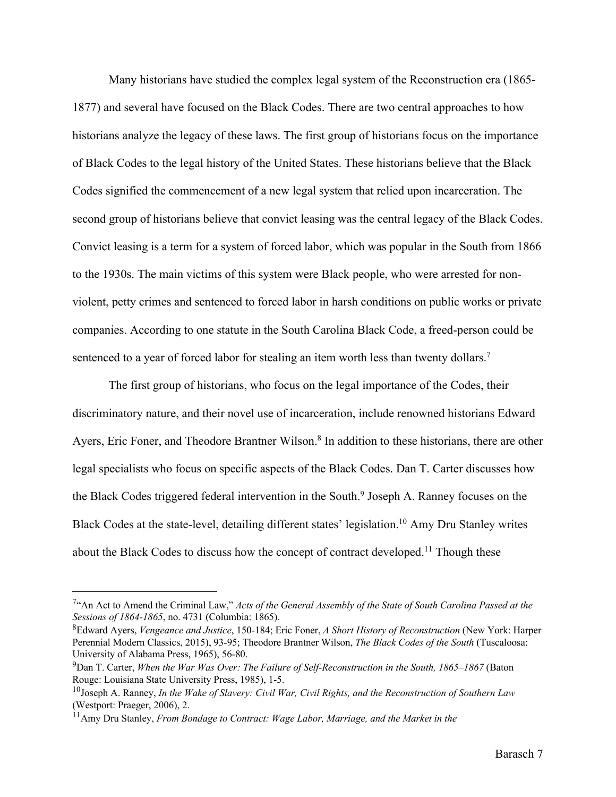Many historians have studied the complex legal system of the Reconstruction era (1865- 1877) and several have focused on the Black Codes. There are two central approaches to how historians analyze the legacy of these laws. The first group of historians focus on the importance of Black Codes to the legal history of the United States. These historians believe that the Black Codes signified the commencement of a new legal system that relied upon incarceration. The second group of historians believe that convict leasing was the central legacy of the Black Codes. Convict leasing is a term for a system of forced labor, which was popular in the South from 1866 to the 1930s. The main victims of this system were Black people, who were arrested for nonviolent, petty crimes and sentenced to forced labor in harsh conditions on public works or private companies. According to one statute in the South Carolina Black Code, a freed-person could be sentenced to a year of forced labor for stealing an item worth less than twenty dollars.<sup>7</sup>

The first group of historians, who focus on the legal importance of the Codes, their discriminatory nature, and their novel use of incarceration, include renowned historians Edward Ayers, Eric Foner, and Theodore Brantner Wilson.<sup>8</sup> In addition to these historians, there are other legal specialists who focus on specific aspects of the Black Codes. Dan T. Carter discusses how the Black Codes triggered federal intervention in the South.<sup>9</sup> Joseph A. Ranney focuses on the Black Codes at the state-level, detailing different states' legislation.10 Amy Dru Stanley writes about the Black Codes to discuss how the concept of contract developed.<sup>11</sup> Though these

<sup>7&</sup>quot;An Act to Amend the Criminal Law," *Acts of the General Assembly of the State of South Carolina Passed at the Sessions of 1864-1865*, no. 4731 (Columbia: 1865).

<sup>8</sup>Edward Ayers, *Vengeance and Justice*, 150-184; Eric Foner, *A Short History of Reconstruction* (New York: Harper Perennial Modern Classics, 2015), 93-95; Theodore Brantner Wilson, *The Black Codes of the South* (Tuscaloosa: University of Alabama Press, 1965), 56-80.

<sup>&</sup>lt;sup>9</sup>Dan T. Carter, *When the War Was Over: The Failure of Self-Reconstruction in the South, 1865–1867* (Baton Rouge: Louisiana State University Press, 1985), 1-5.

<sup>10</sup>Joseph A. Ranney, *In the Wake of Slavery: Civil War, Civil Rights, and the Reconstruction of Southern Law* (Westport: Praeger, 2006), 2.

<sup>11</sup>Amy Dru Stanley, *From Bondage to Contract: Wage Labor, Marriage, and the Market in the*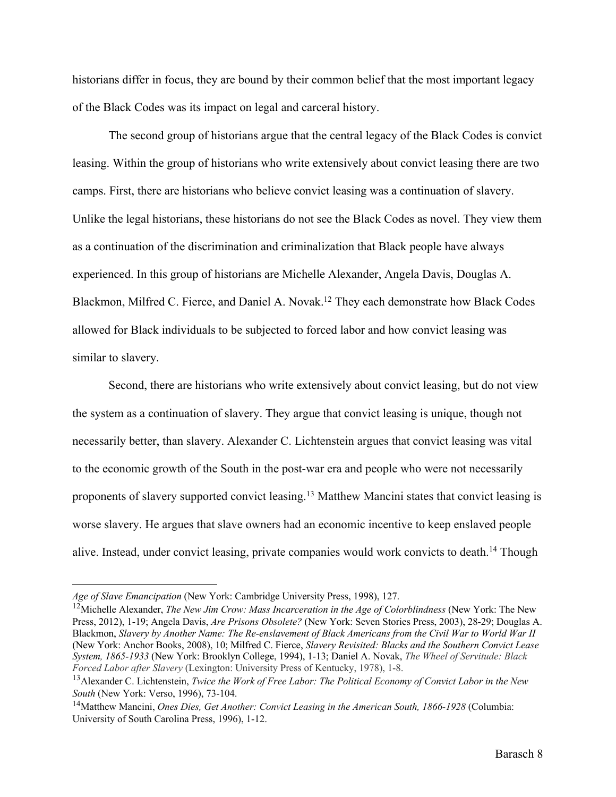historians differ in focus, they are bound by their common belief that the most important legacy of the Black Codes was its impact on legal and carceral history.

The second group of historians argue that the central legacy of the Black Codes is convict leasing. Within the group of historians who write extensively about convict leasing there are two camps. First, there are historians who believe convict leasing was a continuation of slavery. Unlike the legal historians, these historians do not see the Black Codes as novel. They view them as a continuation of the discrimination and criminalization that Black people have always experienced. In this group of historians are Michelle Alexander, Angela Davis, Douglas A. Blackmon, Milfred C. Fierce, and Daniel A. Novak.12 They each demonstrate how Black Codes allowed for Black individuals to be subjected to forced labor and how convict leasing was similar to slavery.

Second, there are historians who write extensively about convict leasing, but do not view the system as a continuation of slavery. They argue that convict leasing is unique, though not necessarily better, than slavery. Alexander C. Lichtenstein argues that convict leasing was vital to the economic growth of the South in the post-war era and people who were not necessarily proponents of slavery supported convict leasing.13 Matthew Mancini states that convict leasing is worse slavery. He argues that slave owners had an economic incentive to keep enslaved people alive. Instead, under convict leasing, private companies would work convicts to death.<sup>14</sup> Though

*Age of Slave Emancipation* (New York: Cambridge University Press, 1998), 127.

<sup>12</sup>Michelle Alexander, *The New Jim Crow: Mass Incarceration in the Age of Colorblindness* (New York: The New Press, 2012), 1-19; Angela Davis, *Are Prisons Obsolete?* (New York: Seven Stories Press, 2003), 28-29; Douglas A. Blackmon, *Slavery by Another Name: The Re-enslavement of Black Americans from the Civil War to World War II* (New York: Anchor Books, 2008), 10; Milfred C. Fierce, *Slavery Revisited: Blacks and the Southern Convict Lease System, 1865-1933* (New York: Brooklyn College, 1994), 1-13; Daniel A. Novak, *The Wheel of Servitude: Black Forced Labor after Slavery* (Lexington: University Press of Kentucky, 1978), 1-8.

<sup>13</sup>Alexander C. Lichtenstein, *Twice the Work of Free Labor: The Political Economy of Convict Labor in the New South* (New York: Verso, 1996), 73-104.

<sup>14</sup>Matthew Mancini, *Ones Dies, Get Another: Convict Leasing in the American South, 1866-1928* (Columbia: University of South Carolina Press, 1996), 1-12.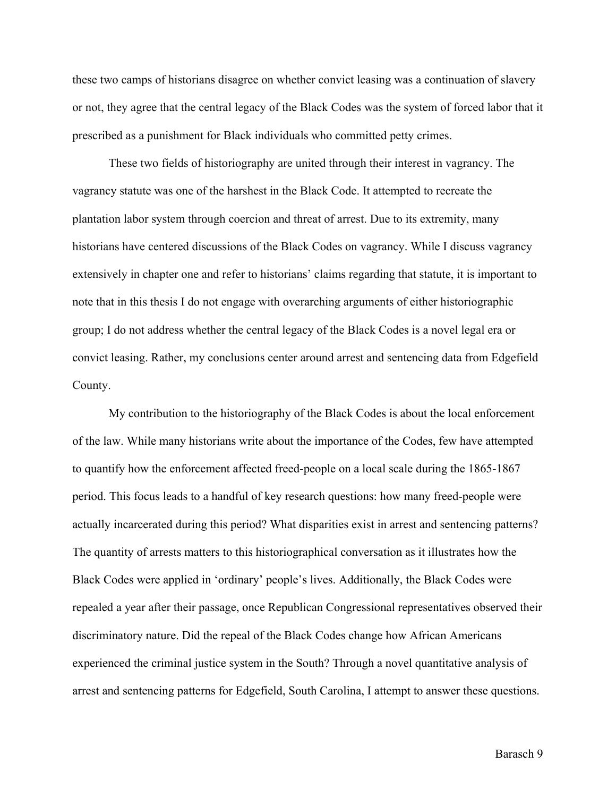these two camps of historians disagree on whether convict leasing was a continuation of slavery or not, they agree that the central legacy of the Black Codes was the system of forced labor that it prescribed as a punishment for Black individuals who committed petty crimes.

These two fields of historiography are united through their interest in vagrancy. The vagrancy statute was one of the harshest in the Black Code. It attempted to recreate the plantation labor system through coercion and threat of arrest. Due to its extremity, many historians have centered discussions of the Black Codes on vagrancy. While I discuss vagrancy extensively in chapter one and refer to historians' claims regarding that statute, it is important to note that in this thesis I do not engage with overarching arguments of either historiographic group; I do not address whether the central legacy of the Black Codes is a novel legal era or convict leasing. Rather, my conclusions center around arrest and sentencing data from Edgefield County.

My contribution to the historiography of the Black Codes is about the local enforcement of the law. While many historians write about the importance of the Codes, few have attempted to quantify how the enforcement affected freed-people on a local scale during the 1865-1867 period. This focus leads to a handful of key research questions: how many freed-people were actually incarcerated during this period? What disparities exist in arrest and sentencing patterns? The quantity of arrests matters to this historiographical conversation as it illustrates how the Black Codes were applied in 'ordinary' people's lives. Additionally, the Black Codes were repealed a year after their passage, once Republican Congressional representatives observed their discriminatory nature. Did the repeal of the Black Codes change how African Americans experienced the criminal justice system in the South? Through a novel quantitative analysis of arrest and sentencing patterns for Edgefield, South Carolina, I attempt to answer these questions.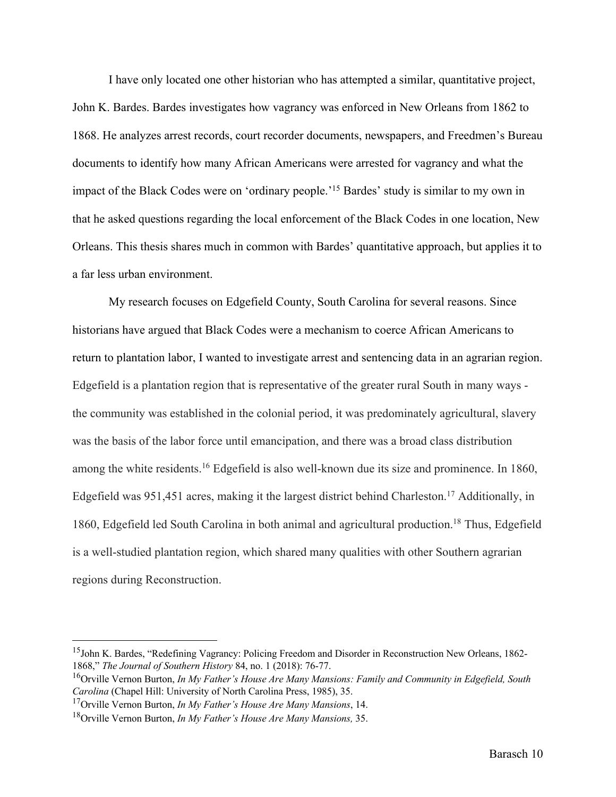I have only located one other historian who has attempted a similar, quantitative project, John K. Bardes. Bardes investigates how vagrancy was enforced in New Orleans from 1862 to 1868. He analyzes arrest records, court recorder documents, newspapers, and Freedmen's Bureau documents to identify how many African Americans were arrested for vagrancy and what the impact of the Black Codes were on 'ordinary people.'15 Bardes' study is similar to my own in that he asked questions regarding the local enforcement of the Black Codes in one location, New Orleans. This thesis shares much in common with Bardes' quantitative approach, but applies it to a far less urban environment.

My research focuses on Edgefield County, South Carolina for several reasons. Since historians have argued that Black Codes were a mechanism to coerce African Americans to return to plantation labor, I wanted to investigate arrest and sentencing data in an agrarian region. Edgefield is a plantation region that is representative of the greater rural South in many ways the community was established in the colonial period, it was predominately agricultural, slavery was the basis of the labor force until emancipation, and there was a broad class distribution among the white residents.16 Edgefield is also well-known due its size and prominence. In 1860, Edgefield was 951,451 acres, making it the largest district behind Charleston.<sup>17</sup> Additionally, in 1860, Edgefield led South Carolina in both animal and agricultural production.<sup>18</sup> Thus, Edgefield is a well-studied plantation region, which shared many qualities with other Southern agrarian regions during Reconstruction.

<sup>&</sup>lt;sup>15</sup>John K. Bardes, "Redefining Vagrancy: Policing Freedom and Disorder in Reconstruction New Orleans, 1862-1868," *The Journal of Southern History* 84, no. 1 (2018): 76-77.

<sup>16</sup>Orville Vernon Burton, *In My Father's House Are Many Mansions: Family and Community in Edgefield, South Carolina* (Chapel Hill: University of North Carolina Press, 1985), 35.

<sup>17</sup>Orville Vernon Burton, *In My Father's House Are Many Mansions*, 14.

<sup>18</sup>Orville Vernon Burton, *In My Father's House Are Many Mansions,* 35.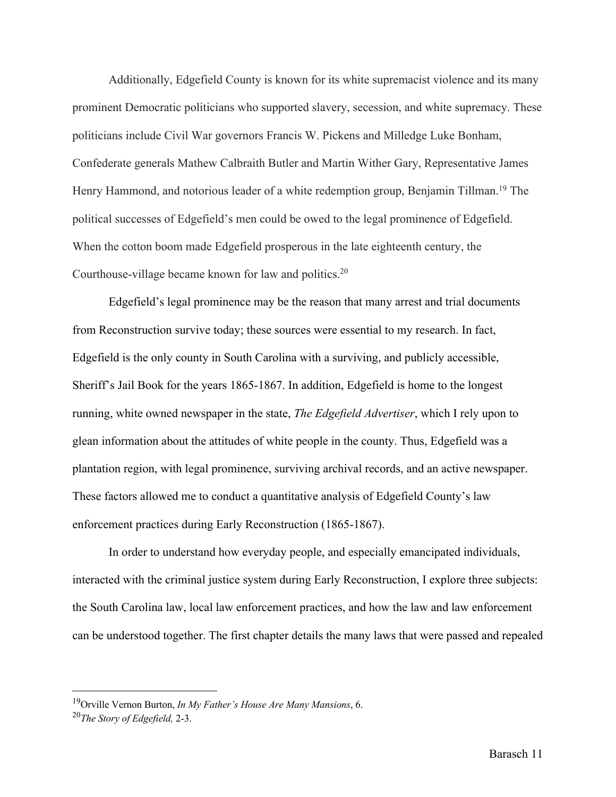Additionally, Edgefield County is known for its white supremacist violence and its many prominent Democratic politicians who supported slavery, secession, and white supremacy. These politicians include Civil War governors Francis W. Pickens and Milledge Luke Bonham, Confederate generals Mathew Calbraith Butler and Martin Wither Gary, Representative James Henry Hammond, and notorious leader of a white redemption group, Benjamin Tillman.<sup>19</sup> The political successes of Edgefield's men could be owed to the legal prominence of Edgefield. When the cotton boom made Edgefield prosperous in the late eighteenth century, the Courthouse-village became known for law and politics.20

Edgefield's legal prominence may be the reason that many arrest and trial documents from Reconstruction survive today; these sources were essential to my research. In fact, Edgefield is the only county in South Carolina with a surviving, and publicly accessible, Sheriff's Jail Book for the years 1865-1867. In addition, Edgefield is home to the longest running, white owned newspaper in the state, *The Edgefield Advertiser*, which I rely upon to glean information about the attitudes of white people in the county. Thus, Edgefield was a plantation region, with legal prominence, surviving archival records, and an active newspaper. These factors allowed me to conduct a quantitative analysis of Edgefield County's law enforcement practices during Early Reconstruction (1865-1867).

In order to understand how everyday people, and especially emancipated individuals, interacted with the criminal justice system during Early Reconstruction, I explore three subjects: the South Carolina law, local law enforcement practices, and how the law and law enforcement can be understood together. The first chapter details the many laws that were passed and repealed

<sup>19</sup>Orville Vernon Burton, *In My Father's House Are Many Mansions*, 6.

<sup>20</sup>*The Story of Edgefield,* 2-3.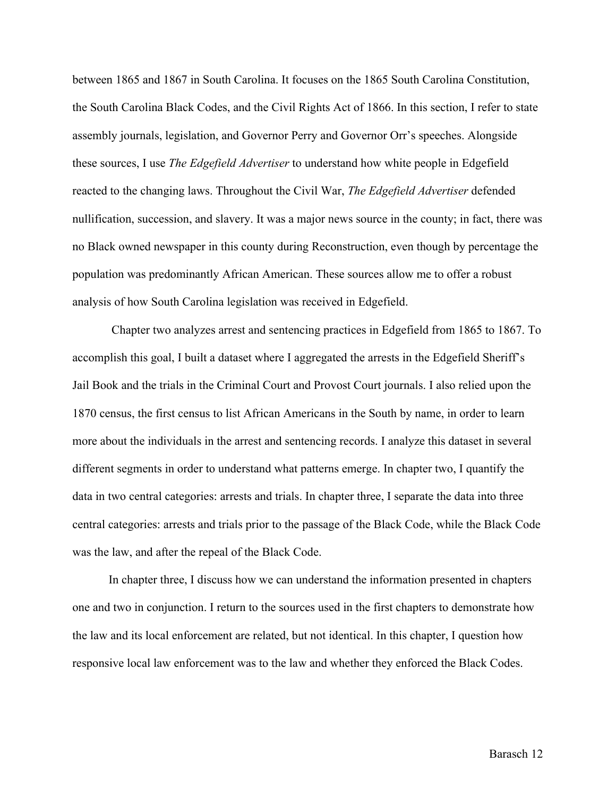between 1865 and 1867 in South Carolina. It focuses on the 1865 South Carolina Constitution, the South Carolina Black Codes, and the Civil Rights Act of 1866. In this section, I refer to state assembly journals, legislation, and Governor Perry and Governor Orr's speeches. Alongside these sources, I use *The Edgefield Advertiser* to understand how white people in Edgefield reacted to the changing laws. Throughout the Civil War, *The Edgefield Advertiser* defended nullification, succession, and slavery. It was a major news source in the county; in fact, there was no Black owned newspaper in this county during Reconstruction, even though by percentage the population was predominantly African American. These sources allow me to offer a robust analysis of how South Carolina legislation was received in Edgefield.

Chapter two analyzes arrest and sentencing practices in Edgefield from 1865 to 1867. To accomplish this goal, I built a dataset where I aggregated the arrests in the Edgefield Sheriff's Jail Book and the trials in the Criminal Court and Provost Court journals. I also relied upon the 1870 census, the first census to list African Americans in the South by name, in order to learn more about the individuals in the arrest and sentencing records. I analyze this dataset in several different segments in order to understand what patterns emerge. In chapter two, I quantify the data in two central categories: arrests and trials. In chapter three, I separate the data into three central categories: arrests and trials prior to the passage of the Black Code, while the Black Code was the law, and after the repeal of the Black Code.

In chapter three, I discuss how we can understand the information presented in chapters one and two in conjunction. I return to the sources used in the first chapters to demonstrate how the law and its local enforcement are related, but not identical. In this chapter, I question how responsive local law enforcement was to the law and whether they enforced the Black Codes.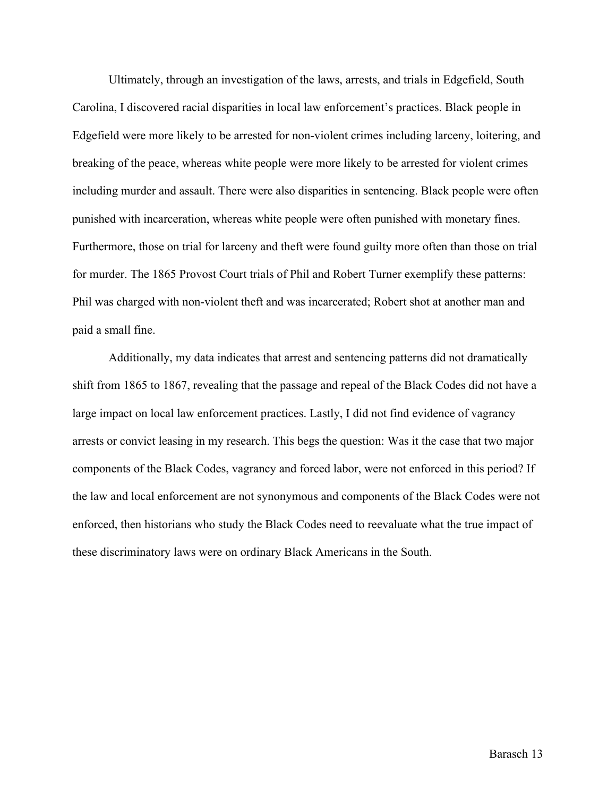Ultimately, through an investigation of the laws, arrests, and trials in Edgefield, South Carolina, I discovered racial disparities in local law enforcement's practices. Black people in Edgefield were more likely to be arrested for non-violent crimes including larceny, loitering, and breaking of the peace, whereas white people were more likely to be arrested for violent crimes including murder and assault. There were also disparities in sentencing. Black people were often punished with incarceration, whereas white people were often punished with monetary fines. Furthermore, those on trial for larceny and theft were found guilty more often than those on trial for murder. The 1865 Provost Court trials of Phil and Robert Turner exemplify these patterns: Phil was charged with non-violent theft and was incarcerated; Robert shot at another man and paid a small fine.

Additionally, my data indicates that arrest and sentencing patterns did not dramatically shift from 1865 to 1867, revealing that the passage and repeal of the Black Codes did not have a large impact on local law enforcement practices. Lastly, I did not find evidence of vagrancy arrests or convict leasing in my research. This begs the question: Was it the case that two major components of the Black Codes, vagrancy and forced labor, were not enforced in this period? If the law and local enforcement are not synonymous and components of the Black Codes were not enforced, then historians who study the Black Codes need to reevaluate what the true impact of these discriminatory laws were on ordinary Black Americans in the South.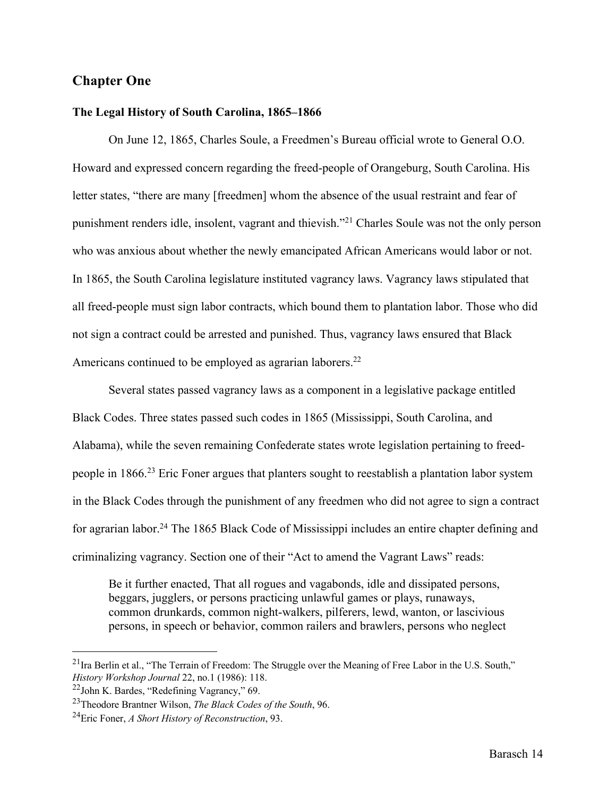### **Chapter One**

#### **The Legal History of South Carolina, 1865–1866**

On June 12, 1865, Charles Soule, a Freedmen's Bureau official wrote to General O.O. Howard and expressed concern regarding the freed-people of Orangeburg, South Carolina. His letter states, "there are many [freedmen] whom the absence of the usual restraint and fear of punishment renders idle, insolent, vagrant and thievish."21 Charles Soule was not the only person who was anxious about whether the newly emancipated African Americans would labor or not. In 1865, the South Carolina legislature instituted vagrancy laws. Vagrancy laws stipulated that all freed-people must sign labor contracts, which bound them to plantation labor. Those who did not sign a contract could be arrested and punished. Thus, vagrancy laws ensured that Black Americans continued to be employed as agrarian laborers.<sup>22</sup>

Several states passed vagrancy laws as a component in a legislative package entitled Black Codes. Three states passed such codes in 1865 (Mississippi, South Carolina, and Alabama), while the seven remaining Confederate states wrote legislation pertaining to freedpeople in 1866.23 Eric Foner argues that planters sought to reestablish a plantation labor system in the Black Codes through the punishment of any freedmen who did not agree to sign a contract for agrarian labor.24 The 1865 Black Code of Mississippi includes an entire chapter defining and criminalizing vagrancy. Section one of their "Act to amend the Vagrant Laws" reads:

Be it further enacted, That all rogues and vagabonds, idle and dissipated persons, beggars, jugglers, or persons practicing unlawful games or plays, runaways, common drunkards, common night-walkers, pilferers, lewd, wanton, or lascivious persons, in speech or behavior, common railers and brawlers, persons who neglect

<sup>&</sup>lt;sup>21</sup>Ira Berlin et al., "The Terrain of Freedom: The Struggle over the Meaning of Free Labor in the U.S. South," *History Workshop Journal* 22, no.1 (1986): 118.

<sup>22</sup>John K. Bardes, "Redefining Vagrancy," 69.

<sup>23</sup>Theodore Brantner Wilson, *The Black Codes of the South*, 96.

<sup>24</sup>Eric Foner, *A Short History of Reconstruction*, 93.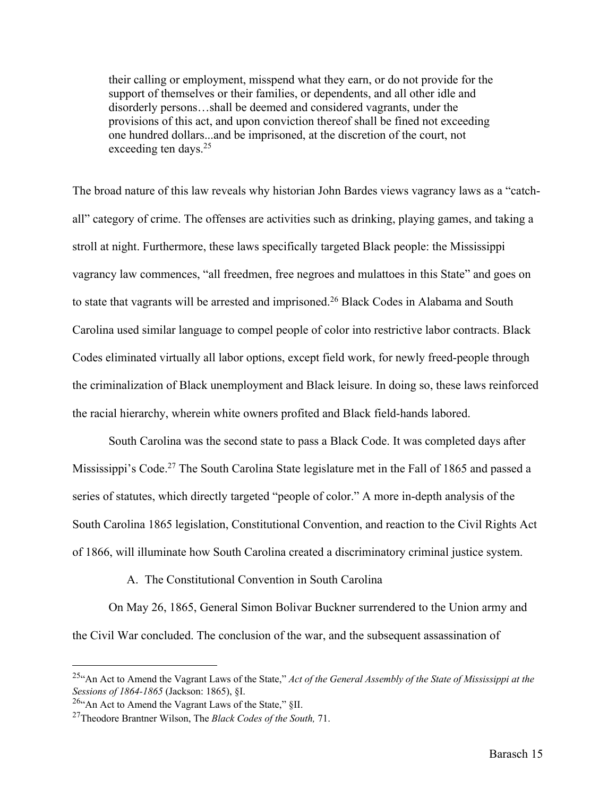their calling or employment, misspend what they earn, or do not provide for the support of themselves or their families, or dependents, and all other idle and disorderly persons…shall be deemed and considered vagrants, under the provisions of this act, and upon conviction thereof shall be fined not exceeding one hundred dollars...and be imprisoned, at the discretion of the court, not exceeding ten days.<sup>25</sup>

The broad nature of this law reveals why historian John Bardes views vagrancy laws as a "catchall" category of crime. The offenses are activities such as drinking, playing games, and taking a stroll at night. Furthermore, these laws specifically targeted Black people: the Mississippi vagrancy law commences, "all freedmen, free negroes and mulattoes in this State" and goes on to state that vagrants will be arrested and imprisoned.<sup>26</sup> Black Codes in Alabama and South Carolina used similar language to compel people of color into restrictive labor contracts. Black Codes eliminated virtually all labor options, except field work, for newly freed-people through the criminalization of Black unemployment and Black leisure. In doing so, these laws reinforced the racial hierarchy, wherein white owners profited and Black field-hands labored.

South Carolina was the second state to pass a Black Code. It was completed days after Mississippi's Code.<sup>27</sup> The South Carolina State legislature met in the Fall of 1865 and passed a series of statutes, which directly targeted "people of color." A more in-depth analysis of the South Carolina 1865 legislation, Constitutional Convention, and reaction to the Civil Rights Act of 1866, will illuminate how South Carolina created a discriminatory criminal justice system.

A. The Constitutional Convention in South Carolina

On May 26, 1865, General Simon Bolivar Buckner surrendered to the Union army and the Civil War concluded. The conclusion of the war, and the subsequent assassination of

<sup>25&</sup>quot;An Act to Amend the Vagrant Laws of the State," *Act of the General Assembly of the State of Mississippi at the Sessions of 1864-1865* (Jackson: 1865), §I.

<sup>26&</sup>quot;An Act to Amend the Vagrant Laws of the State," §II.

<sup>27</sup>Theodore Brantner Wilson, The *Black Codes of the South,* 71.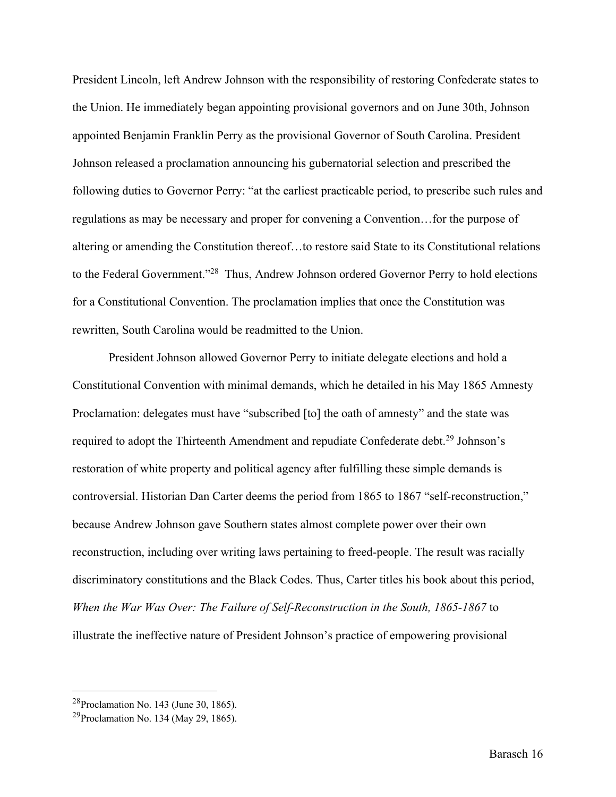President Lincoln, left Andrew Johnson with the responsibility of restoring Confederate states to the Union. He immediately began appointing provisional governors and on June 30th, Johnson appointed Benjamin Franklin Perry as the provisional Governor of South Carolina. President Johnson released a proclamation announcing his gubernatorial selection and prescribed the following duties to Governor Perry: "at the earliest practicable period, to prescribe such rules and regulations as may be necessary and proper for convening a Convention…for the purpose of altering or amending the Constitution thereof…to restore said State to its Constitutional relations to the Federal Government."<sup>28</sup> Thus, Andrew Johnson ordered Governor Perry to hold elections for a Constitutional Convention. The proclamation implies that once the Constitution was rewritten, South Carolina would be readmitted to the Union.

President Johnson allowed Governor Perry to initiate delegate elections and hold a Constitutional Convention with minimal demands, which he detailed in his May 1865 Amnesty Proclamation: delegates must have "subscribed [to] the oath of amnesty" and the state was required to adopt the Thirteenth Amendment and repudiate Confederate debt.<sup>29</sup> Johnson's restoration of white property and political agency after fulfilling these simple demands is controversial. Historian Dan Carter deems the period from 1865 to 1867 "self-reconstruction," because Andrew Johnson gave Southern states almost complete power over their own reconstruction, including over writing laws pertaining to freed-people. The result was racially discriminatory constitutions and the Black Codes. Thus, Carter titles his book about this period, *When the War Was Over: The Failure of Self-Reconstruction in the South, 1865-1867* to illustrate the ineffective nature of President Johnson's practice of empowering provisional

<sup>28</sup>Proclamation No. 143 (June 30, 1865).

<sup>&</sup>lt;sup>29</sup>Proclamation No. 134 (May 29, 1865).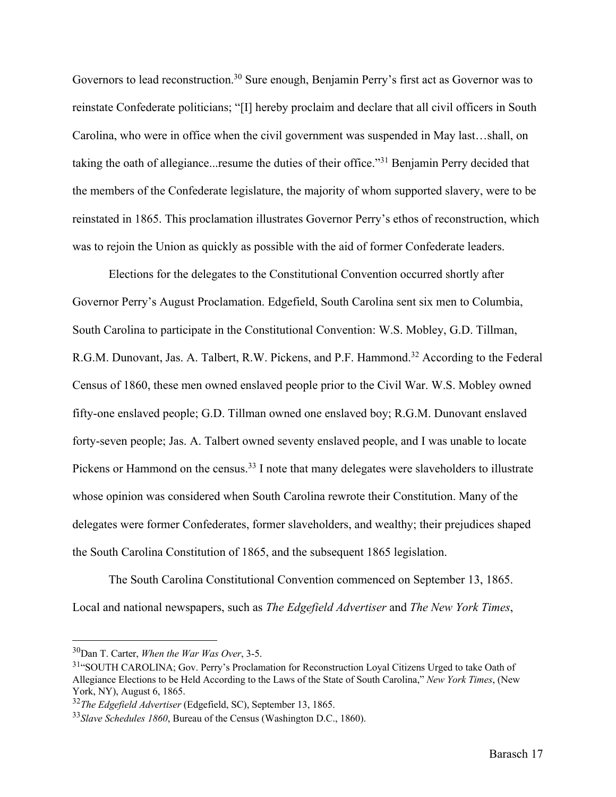Governors to lead reconstruction.<sup>30</sup> Sure enough, Benjamin Perry's first act as Governor was to reinstate Confederate politicians; "[I] hereby proclaim and declare that all civil officers in South Carolina, who were in office when the civil government was suspended in May last…shall, on taking the oath of allegiance...resume the duties of their office."31 Benjamin Perry decided that the members of the Confederate legislature, the majority of whom supported slavery, were to be reinstated in 1865. This proclamation illustrates Governor Perry's ethos of reconstruction, which was to rejoin the Union as quickly as possible with the aid of former Confederate leaders.

Elections for the delegates to the Constitutional Convention occurred shortly after Governor Perry's August Proclamation. Edgefield, South Carolina sent six men to Columbia, South Carolina to participate in the Constitutional Convention: W.S. Mobley, G.D. Tillman, R.G.M. Dunovant, Jas. A. Talbert, R.W. Pickens, and P.F. Hammond.<sup>32</sup> According to the Federal Census of 1860, these men owned enslaved people prior to the Civil War. W.S. Mobley owned fifty-one enslaved people; G.D. Tillman owned one enslaved boy; R.G.M. Dunovant enslaved forty-seven people; Jas. A. Talbert owned seventy enslaved people, and I was unable to locate Pickens or Hammond on the census.<sup>33</sup> I note that many delegates were slaveholders to illustrate whose opinion was considered when South Carolina rewrote their Constitution. Many of the delegates were former Confederates, former slaveholders, and wealthy; their prejudices shaped the South Carolina Constitution of 1865, and the subsequent 1865 legislation.

The South Carolina Constitutional Convention commenced on September 13, 1865. Local and national newspapers, such as *The Edgefield Advertiser* and *The New York Times*,

<sup>30</sup>Dan T. Carter, *When the War Was Over*, 3-5.

<sup>&</sup>lt;sup>31</sup>"SOUTH CAROLINA; Gov. Perry's Proclamation for Reconstruction Loyal Citizens Urged to take Oath of Allegiance Elections to be Held According to the Laws of the State of South Carolina," *New York Times*, (New York, NY), August 6, 1865.

<sup>32</sup>*The Edgefield Advertiser* (Edgefield, SC), September 13, 1865.

<sup>33</sup>*Slave Schedules 1860*, Bureau of the Census (Washington D.C., 1860).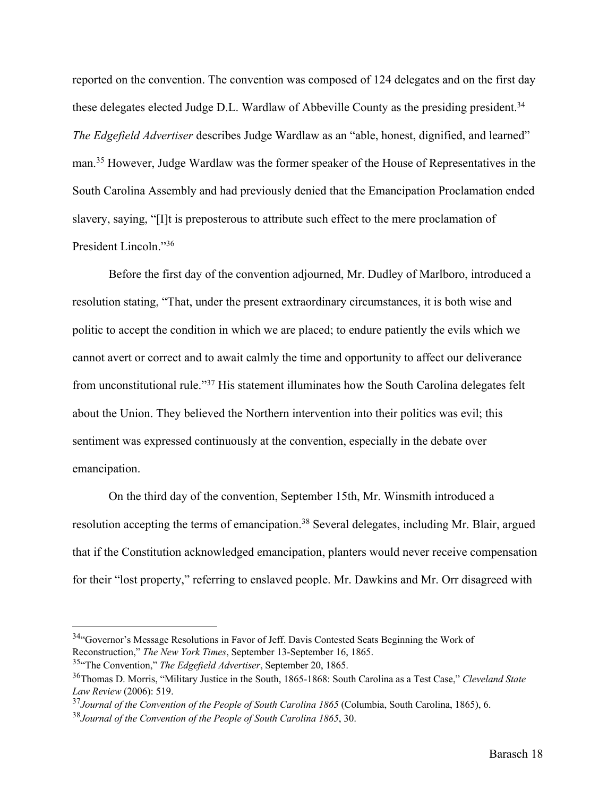reported on the convention. The convention was composed of 124 delegates and on the first day these delegates elected Judge D.L. Wardlaw of Abbeville County as the presiding president.<sup>34</sup> *The Edgefield Advertiser* describes Judge Wardlaw as an "able, honest, dignified, and learned" man.35 However, Judge Wardlaw was the former speaker of the House of Representatives in the South Carolina Assembly and had previously denied that the Emancipation Proclamation ended slavery, saying, "[I]t is preposterous to attribute such effect to the mere proclamation of President Lincoln."36

Before the first day of the convention adjourned, Mr. Dudley of Marlboro, introduced a resolution stating, "That, under the present extraordinary circumstances, it is both wise and politic to accept the condition in which we are placed; to endure patiently the evils which we cannot avert or correct and to await calmly the time and opportunity to affect our deliverance from unconstitutional rule."37 His statement illuminates how the South Carolina delegates felt about the Union. They believed the Northern intervention into their politics was evil; this sentiment was expressed continuously at the convention, especially in the debate over emancipation.

On the third day of the convention, September 15th, Mr. Winsmith introduced a resolution accepting the terms of emancipation.<sup>38</sup> Several delegates, including Mr. Blair, argued that if the Constitution acknowledged emancipation, planters would never receive compensation for their "lost property," referring to enslaved people. Mr. Dawkins and Mr. Orr disagreed with

<sup>34&</sup>quot;Governor's Message Resolutions in Favor of Jeff. Davis Contested Seats Beginning the Work of Reconstruction," *The New York Times*, September 13-September 16, 1865.

<sup>35&</sup>quot;The Convention," *The Edgefield Advertiser*, September 20, 1865.

<sup>36</sup>Thomas D. Morris, "Military Justice in the South, 1865-1868: South Carolina as a Test Case," *Cleveland State Law Review* (2006): 519.

<sup>37</sup>*Journal of the Convention of the People of South Carolina 1865* (Columbia, South Carolina, 1865), 6.

<sup>38</sup>*Journal of the Convention of the People of South Carolina 1865*, 30.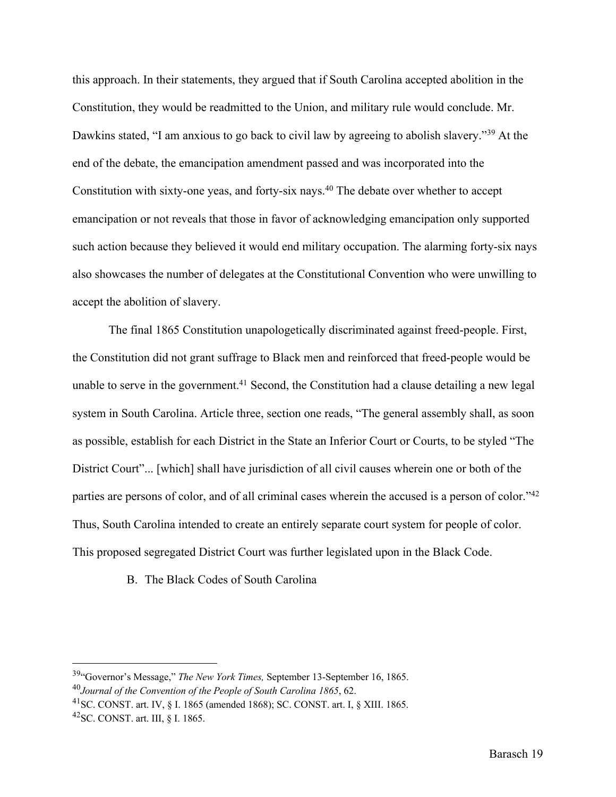this approach. In their statements, they argued that if South Carolina accepted abolition in the Constitution, they would be readmitted to the Union, and military rule would conclude. Mr. Dawkins stated, "I am anxious to go back to civil law by agreeing to abolish slavery."<sup>39</sup> At the end of the debate, the emancipation amendment passed and was incorporated into the Constitution with sixty-one yeas, and forty-six nays.<sup>40</sup> The debate over whether to accept emancipation or not reveals that those in favor of acknowledging emancipation only supported such action because they believed it would end military occupation. The alarming forty-six nays also showcases the number of delegates at the Constitutional Convention who were unwilling to accept the abolition of slavery.

The final 1865 Constitution unapologetically discriminated against freed-people. First, the Constitution did not grant suffrage to Black men and reinforced that freed-people would be unable to serve in the government.<sup>41</sup> Second, the Constitution had a clause detailing a new legal system in South Carolina. Article three, section one reads, "The general assembly shall, as soon as possible, establish for each District in the State an Inferior Court or Courts, to be styled "The District Court"... [which] shall have jurisdiction of all civil causes wherein one or both of the parties are persons of color, and of all criminal cases wherein the accused is a person of color."<sup>42</sup> Thus, South Carolina intended to create an entirely separate court system for people of color. This proposed segregated District Court was further legislated upon in the Black Code.

B. The Black Codes of South Carolina

<sup>39&</sup>quot;Governor's Message," *The New York Times,* September 13-September 16, 1865. <sup>40</sup>*Journal of the Convention of the People of South Carolina 1865*, 62.

<sup>41</sup>SC. CONST. art. IV, § I. 1865 (amended 1868); SC. CONST. art. I, § XIII. 1865.

<sup>42</sup>SC. CONST. art. III, § I. 1865.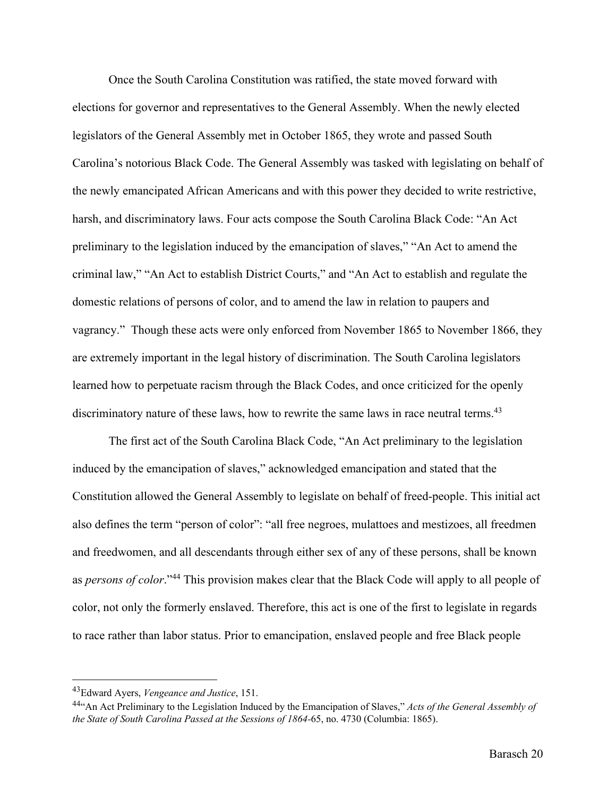Once the South Carolina Constitution was ratified, the state moved forward with elections for governor and representatives to the General Assembly. When the newly elected legislators of the General Assembly met in October 1865, they wrote and passed South Carolina's notorious Black Code. The General Assembly was tasked with legislating on behalf of the newly emancipated African Americans and with this power they decided to write restrictive, harsh, and discriminatory laws. Four acts compose the South Carolina Black Code: "An Act preliminary to the legislation induced by the emancipation of slaves," "An Act to amend the criminal law," "An Act to establish District Courts," and "An Act to establish and regulate the domestic relations of persons of color, and to amend the law in relation to paupers and vagrancy." Though these acts were only enforced from November 1865 to November 1866, they are extremely important in the legal history of discrimination. The South Carolina legislators learned how to perpetuate racism through the Black Codes, and once criticized for the openly discriminatory nature of these laws, how to rewrite the same laws in race neutral terms.<sup>43</sup>

The first act of the South Carolina Black Code, "An Act preliminary to the legislation induced by the emancipation of slaves," acknowledged emancipation and stated that the Constitution allowed the General Assembly to legislate on behalf of freed-people. This initial act also defines the term "person of color": "all free negroes, mulattoes and mestizoes, all freedmen and freedwomen, and all descendants through either sex of any of these persons, shall be known as *persons of color*."44 This provision makes clear that the Black Code will apply to all people of color, not only the formerly enslaved. Therefore, this act is one of the first to legislate in regards to race rather than labor status. Prior to emancipation, enslaved people and free Black people

<sup>43</sup>Edward Ayers, *Vengeance and Justice*, 151.

<sup>44&</sup>quot;An Act Preliminary to the Legislation Induced by the Emancipation of Slaves," *Acts of the General Assembly of the State of South Carolina Passed at the Sessions of 1864-*65, no. 4730 (Columbia: 1865).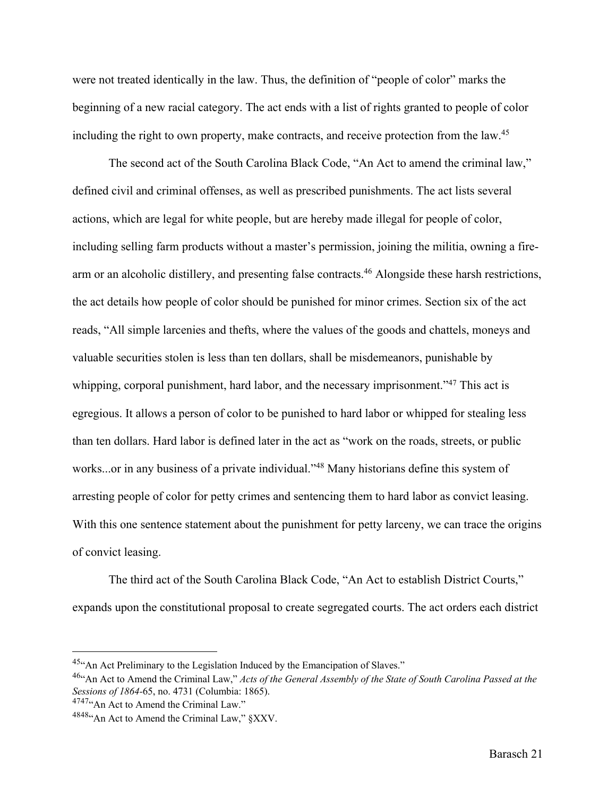were not treated identically in the law. Thus, the definition of "people of color" marks the beginning of a new racial category. The act ends with a list of rights granted to people of color including the right to own property, make contracts, and receive protection from the law.<sup>45</sup>

The second act of the South Carolina Black Code, "An Act to amend the criminal law," defined civil and criminal offenses, as well as prescribed punishments. The act lists several actions, which are legal for white people, but are hereby made illegal for people of color, including selling farm products without a master's permission, joining the militia, owning a firearm or an alcoholic distillery, and presenting false contracts.<sup>46</sup> Alongside these harsh restrictions, the act details how people of color should be punished for minor crimes. Section six of the act reads, "All simple larcenies and thefts, where the values of the goods and chattels, moneys and valuable securities stolen is less than ten dollars, shall be misdemeanors, punishable by whipping, corporal punishment, hard labor, and the necessary imprisonment.<sup>347</sup> This act is egregious. It allows a person of color to be punished to hard labor or whipped for stealing less than ten dollars. Hard labor is defined later in the act as "work on the roads, streets, or public works...or in any business of a private individual."48 Many historians define this system of arresting people of color for petty crimes and sentencing them to hard labor as convict leasing. With this one sentence statement about the punishment for petty larceny, we can trace the origins of convict leasing.

The third act of the South Carolina Black Code, "An Act to establish District Courts," expands upon the constitutional proposal to create segregated courts. The act orders each district

<sup>45&</sup>quot;An Act Preliminary to the Legislation Induced by the Emancipation of Slaves."

<sup>46&</sup>quot;An Act to Amend the Criminal Law," *Acts of the General Assembly of the State of South Carolina Passed at the Sessions of 1864-65*, no. 4731 (Columbia: 1865).<br><sup>4747</sup>"An Act to Amend the Criminal Law."

<sup>4848&</sup>quot;An Act to Amend the Criminal Law," §XXV.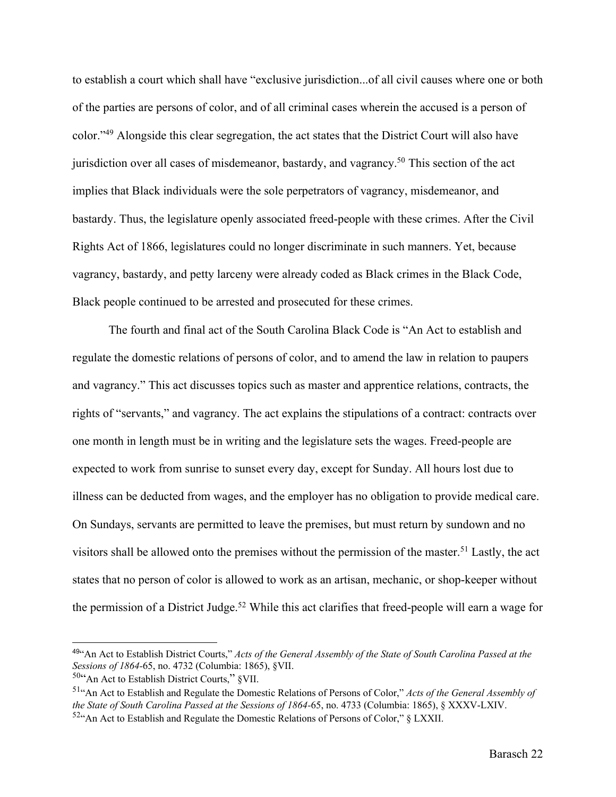to establish a court which shall have "exclusive jurisdiction...of all civil causes where one or both of the parties are persons of color, and of all criminal cases wherein the accused is a person of color."49 Alongside this clear segregation, the act states that the District Court will also have jurisdiction over all cases of misdemeanor, bastardy, and vagrancy.<sup>50</sup> This section of the act implies that Black individuals were the sole perpetrators of vagrancy, misdemeanor, and bastardy. Thus, the legislature openly associated freed-people with these crimes. After the Civil Rights Act of 1866, legislatures could no longer discriminate in such manners. Yet, because vagrancy, bastardy, and petty larceny were already coded as Black crimes in the Black Code, Black people continued to be arrested and prosecuted for these crimes.

The fourth and final act of the South Carolina Black Code is "An Act to establish and regulate the domestic relations of persons of color, and to amend the law in relation to paupers and vagrancy." This act discusses topics such as master and apprentice relations, contracts, the rights of "servants," and vagrancy. The act explains the stipulations of a contract: contracts over one month in length must be in writing and the legislature sets the wages. Freed-people are expected to work from sunrise to sunset every day, except for Sunday. All hours lost due to illness can be deducted from wages, and the employer has no obligation to provide medical care. On Sundays, servants are permitted to leave the premises, but must return by sundown and no visitors shall be allowed onto the premises without the permission of the master.<sup>51</sup> Lastly, the act states that no person of color is allowed to work as an artisan, mechanic, or shop-keeper without the permission of a District Judge.<sup>52</sup> While this act clarifies that freed-people will earn a wage for

<sup>49</sup>"An Act to Establish District Courts," *Acts of the General Assembly of the State of South Carolina Passed at the Sessions of 1864-65*, no. 4732 (Columbia: 1865), §VII.<br><sup>50</sup>"An Act to Establish District Courts," §VII.

<sup>51&</sup>quot;An Act to Establish and Regulate the Domestic Relations of Persons of Color," *Acts of the General Assembly of the State of South Carolina Passed at the Sessions of 1864-65*, no. 4733 (Columbia: 1865), § XXXV-LXIV. <sup>52</sup> An Act to Establish and Regulate the Domestic Relations of Persons of Color," § LXXII.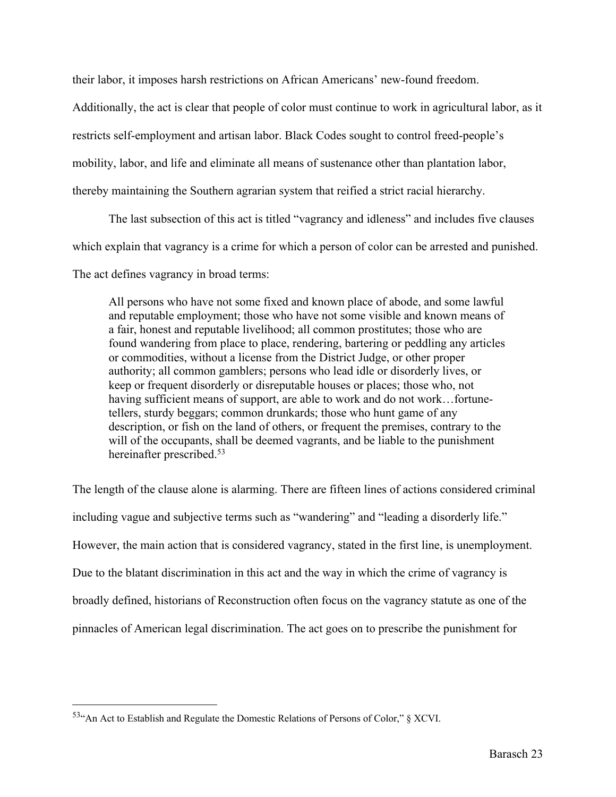their labor, it imposes harsh restrictions on African Americans' new-found freedom.

Additionally, the act is clear that people of color must continue to work in agricultural labor, as it

restricts self-employment and artisan labor. Black Codes sought to control freed-people's

mobility, labor, and life and eliminate all means of sustenance other than plantation labor,

thereby maintaining the Southern agrarian system that reified a strict racial hierarchy.

The last subsection of this act is titled "vagrancy and idleness" and includes five clauses

which explain that vagrancy is a crime for which a person of color can be arrested and punished.

The act defines vagrancy in broad terms:

All persons who have not some fixed and known place of abode, and some lawful and reputable employment; those who have not some visible and known means of a fair, honest and reputable livelihood; all common prostitutes; those who are found wandering from place to place, rendering, bartering or peddling any articles or commodities, without a license from the District Judge, or other proper authority; all common gamblers; persons who lead idle or disorderly lives, or keep or frequent disorderly or disreputable houses or places; those who, not having sufficient means of support, are able to work and do not work...fortunetellers, sturdy beggars; common drunkards; those who hunt game of any description, or fish on the land of others, or frequent the premises, contrary to the will of the occupants, shall be deemed vagrants, and be liable to the punishment hereinafter prescribed.<sup>53</sup>

The length of the clause alone is alarming. There are fifteen lines of actions considered criminal including vague and subjective terms such as "wandering" and "leading a disorderly life." However, the main action that is considered vagrancy, stated in the first line, is unemployment. Due to the blatant discrimination in this act and the way in which the crime of vagrancy is broadly defined, historians of Reconstruction often focus on the vagrancy statute as one of the pinnacles of American legal discrimination. The act goes on to prescribe the punishment for

<sup>53&</sup>quot;An Act to Establish and Regulate the Domestic Relations of Persons of Color," § XCVI.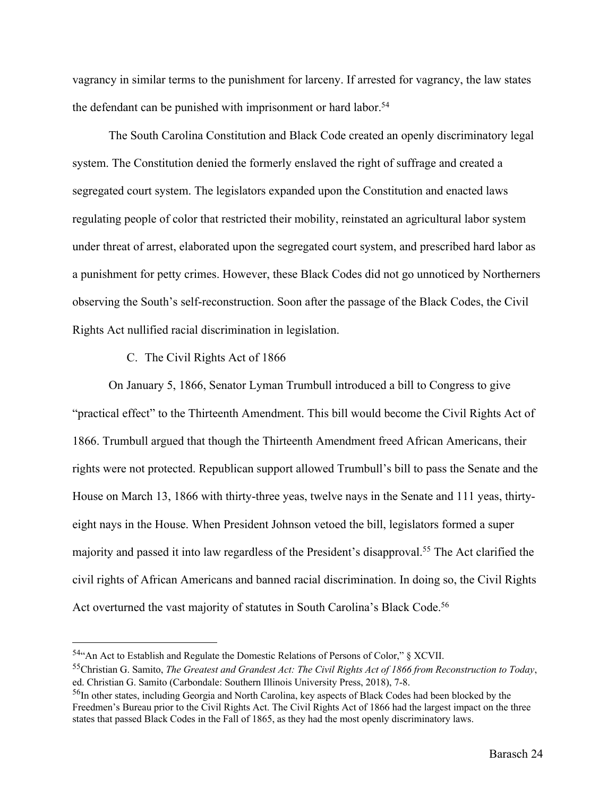vagrancy in similar terms to the punishment for larceny. If arrested for vagrancy, the law states the defendant can be punished with imprisonment or hard labor.<sup>54</sup>

The South Carolina Constitution and Black Code created an openly discriminatory legal system. The Constitution denied the formerly enslaved the right of suffrage and created a segregated court system. The legislators expanded upon the Constitution and enacted laws regulating people of color that restricted their mobility, reinstated an agricultural labor system under threat of arrest, elaborated upon the segregated court system, and prescribed hard labor as a punishment for petty crimes. However, these Black Codes did not go unnoticed by Northerners observing the South's self-reconstruction. Soon after the passage of the Black Codes, the Civil Rights Act nullified racial discrimination in legislation.

#### C. The Civil Rights Act of 1866

On January 5, 1866, Senator Lyman Trumbull introduced a bill to Congress to give "practical effect" to the Thirteenth Amendment. This bill would become the Civil Rights Act of 1866. Trumbull argued that though the Thirteenth Amendment freed African Americans, their rights were not protected. Republican support allowed Trumbull's bill to pass the Senate and the House on March 13, 1866 with thirty-three yeas, twelve nays in the Senate and 111 yeas, thirtyeight nays in the House. When President Johnson vetoed the bill, legislators formed a super majority and passed it into law regardless of the President's disapproval.55 The Act clarified the civil rights of African Americans and banned racial discrimination. In doing so, the Civil Rights Act overturned the vast majority of statutes in South Carolina's Black Code.56

<sup>54&</sup>quot;An Act to Establish and Regulate the Domestic Relations of Persons of Color," § XCVII. 55Christian G. Samito, *The Greatest and Grandest Act: The Civil Rights Act of 1866 from Reconstruction to Today*, ed. Christian G. Samito (Carbondale: Southern Illinois University Press, 2018), 7-8.

<sup>&</sup>lt;sup>56</sup>In other states, including Georgia and North Carolina, key aspects of Black Codes had been blocked by the Freedmen's Bureau prior to the Civil Rights Act. The Civil Rights Act of 1866 had the largest impact on the three states that passed Black Codes in the Fall of 1865, as they had the most openly discriminatory laws.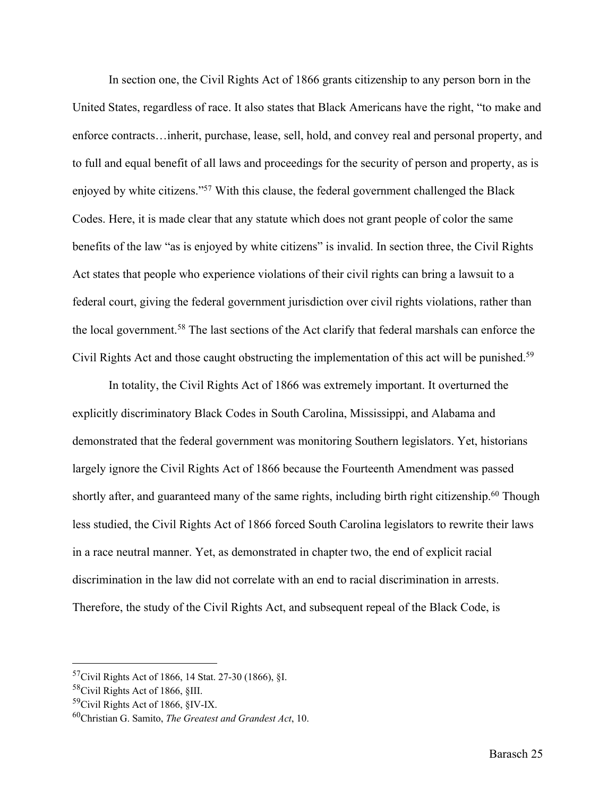In section one, the Civil Rights Act of 1866 grants citizenship to any person born in the United States, regardless of race. It also states that Black Americans have the right, "to make and enforce contracts…inherit, purchase, lease, sell, hold, and convey real and personal property, and to full and equal benefit of all laws and proceedings for the security of person and property, as is enjoyed by white citizens."57 With this clause, the federal government challenged the Black Codes. Here, it is made clear that any statute which does not grant people of color the same benefits of the law "as is enjoyed by white citizens" is invalid. In section three, the Civil Rights Act states that people who experience violations of their civil rights can bring a lawsuit to a federal court, giving the federal government jurisdiction over civil rights violations, rather than the local government.58 The last sections of the Act clarify that federal marshals can enforce the Civil Rights Act and those caught obstructing the implementation of this act will be punished.59

In totality, the Civil Rights Act of 1866 was extremely important. It overturned the explicitly discriminatory Black Codes in South Carolina, Mississippi, and Alabama and demonstrated that the federal government was monitoring Southern legislators. Yet, historians largely ignore the Civil Rights Act of 1866 because the Fourteenth Amendment was passed shortly after, and guaranteed many of the same rights, including birth right citizenship.<sup>60</sup> Though less studied, the Civil Rights Act of 1866 forced South Carolina legislators to rewrite their laws in a race neutral manner. Yet, as demonstrated in chapter two, the end of explicit racial discrimination in the law did not correlate with an end to racial discrimination in arrests. Therefore, the study of the Civil Rights Act, and subsequent repeal of the Black Code, is

<sup>&</sup>lt;sup>57</sup>Civil Rights Act of 1866, 14 Stat. 27-30 (1866), §I.<br><sup>58</sup>Civil Rights Act of 1866, §III.<br><sup>59</sup>Civil Rights Act of 1866, §IV-IX.

<sup>60</sup>Christian G. Samito, *The Greatest and Grandest Act*, 10.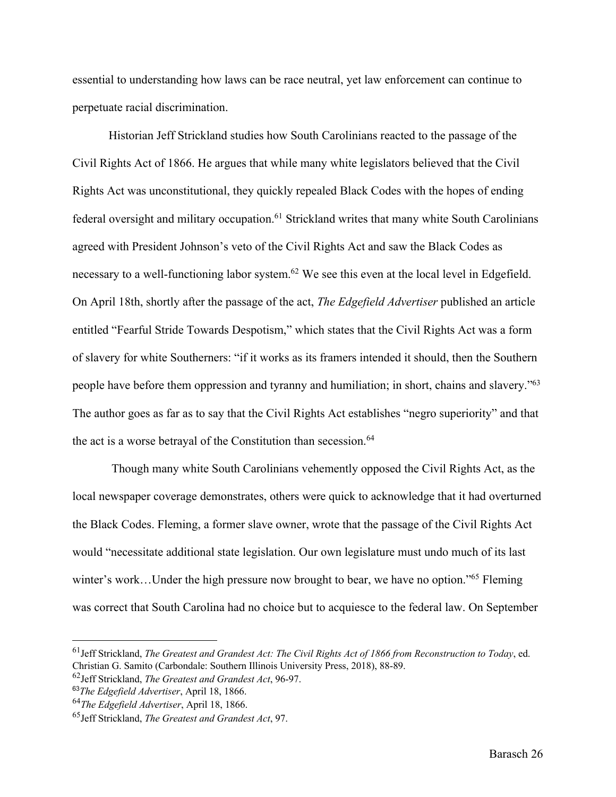essential to understanding how laws can be race neutral, yet law enforcement can continue to perpetuate racial discrimination.

Historian Jeff Strickland studies how South Carolinians reacted to the passage of the Civil Rights Act of 1866. He argues that while many white legislators believed that the Civil Rights Act was unconstitutional, they quickly repealed Black Codes with the hopes of ending federal oversight and military occupation.<sup>61</sup> Strickland writes that many white South Carolinians agreed with President Johnson's veto of the Civil Rights Act and saw the Black Codes as necessary to a well-functioning labor system.<sup>62</sup> We see this even at the local level in Edgefield. On April 18th, shortly after the passage of the act, *The Edgefield Advertiser* published an article entitled "Fearful Stride Towards Despotism," which states that the Civil Rights Act was a form of slavery for white Southerners: "if it works as its framers intended it should, then the Southern people have before them oppression and tyranny and humiliation; in short, chains and slavery."63 The author goes as far as to say that the Civil Rights Act establishes "negro superiority" and that the act is a worse betrayal of the Constitution than secession.<sup>64</sup>

Though many white South Carolinians vehemently opposed the Civil Rights Act, as the local newspaper coverage demonstrates, others were quick to acknowledge that it had overturned the Black Codes. Fleming, a former slave owner, wrote that the passage of the Civil Rights Act would "necessitate additional state legislation. Our own legislature must undo much of its last winter's work...Under the high pressure now brought to bear, we have no option."<sup>65</sup> Fleming was correct that South Carolina had no choice but to acquiesce to the federal law. On September

<sup>61</sup>Jeff Strickland, *The Greatest and Grandest Act: The Civil Rights Act of 1866 from Reconstruction to Today*, ed. Christian G. Samito (Carbondale: Southern Illinois University Press, 2018), 88-89.

<sup>62</sup>Jeff Strickland, *The Greatest and Grandest Act*, 96-97.

<sup>63</sup>*The Edgefield Advertiser*, April 18, 1866.

<sup>64</sup>*The Edgefield Advertiser*, April 18, 1866.

<sup>65</sup>Jeff Strickland, *The Greatest and Grandest Act*, 97.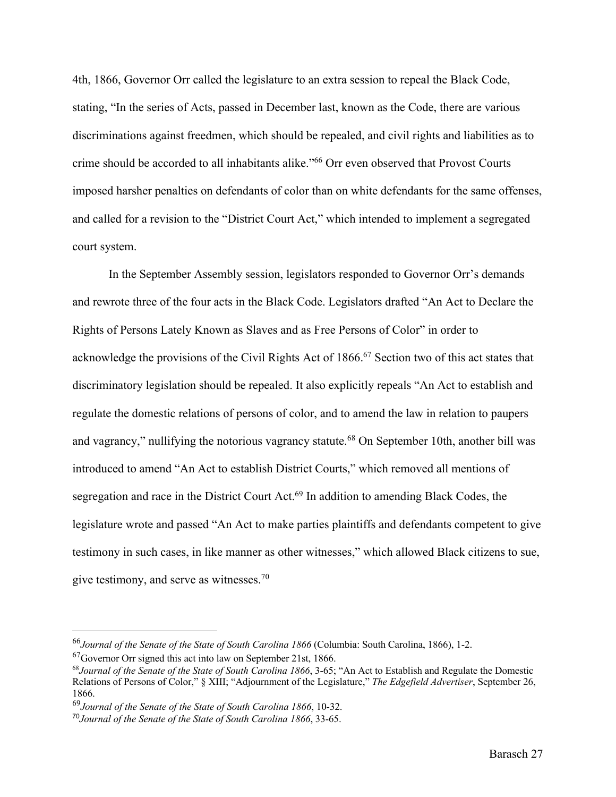4th, 1866, Governor Orr called the legislature to an extra session to repeal the Black Code, stating, "In the series of Acts, passed in December last, known as the Code, there are various discriminations against freedmen, which should be repealed, and civil rights and liabilities as to crime should be accorded to all inhabitants alike."66 Orr even observed that Provost Courts imposed harsher penalties on defendants of color than on white defendants for the same offenses, and called for a revision to the "District Court Act," which intended to implement a segregated court system.

In the September Assembly session, legislators responded to Governor Orr's demands and rewrote three of the four acts in the Black Code. Legislators drafted "An Act to Declare the Rights of Persons Lately Known as Slaves and as Free Persons of Color" in order to acknowledge the provisions of the Civil Rights Act of 1866.<sup>67</sup> Section two of this act states that discriminatory legislation should be repealed. It also explicitly repeals "An Act to establish and regulate the domestic relations of persons of color, and to amend the law in relation to paupers and vagrancy," nullifying the notorious vagrancy statute.<sup>68</sup> On September 10th, another bill was introduced to amend "An Act to establish District Courts," which removed all mentions of segregation and race in the District Court Act.<sup>69</sup> In addition to amending Black Codes, the legislature wrote and passed "An Act to make parties plaintiffs and defendants competent to give testimony in such cases, in like manner as other witnesses," which allowed Black citizens to sue, give testimony, and serve as witnesses.70

<sup>66</sup>*Journal of the Senate of the State of South Carolina 1866* (Columbia: South Carolina, 1866), 1-2.

 $^{67}$ Governor Orr signed this act into law on September 21st, 1866.

<sup>68</sup>*Journal of the Senate of the State of South Carolina 1866*, 3-65; "An Act to Establish and Regulate the Domestic Relations of Persons of Color," § XIII; "Adjournment of the Legislature," *The Edgefield Advertiser*, September 26, 1866.

<sup>69</sup>*Journal of the Senate of the State of South Carolina 1866*, 10-32.

<sup>70</sup>*Journal of the Senate of the State of South Carolina 1866*, 33-65.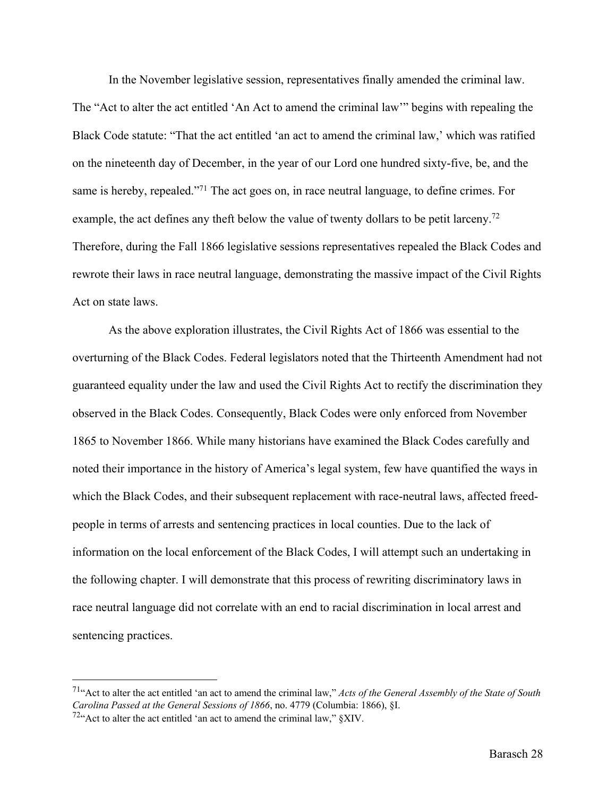In the November legislative session, representatives finally amended the criminal law.

The "Act to alter the act entitled 'An Act to amend the criminal law'" begins with repealing the Black Code statute: "That the act entitled 'an act to amend the criminal law,' which was ratified on the nineteenth day of December, in the year of our Lord one hundred sixty-five, be, and the same is hereby, repealed."<sup>71</sup> The act goes on, in race neutral language, to define crimes. For example, the act defines any theft below the value of twenty dollars to be petit larceny.<sup>72</sup> Therefore, during the Fall 1866 legislative sessions representatives repealed the Black Codes and rewrote their laws in race neutral language, demonstrating the massive impact of the Civil Rights Act on state laws.

As the above exploration illustrates, the Civil Rights Act of 1866 was essential to the overturning of the Black Codes. Federal legislators noted that the Thirteenth Amendment had not guaranteed equality under the law and used the Civil Rights Act to rectify the discrimination they observed in the Black Codes. Consequently, Black Codes were only enforced from November 1865 to November 1866. While many historians have examined the Black Codes carefully and noted their importance in the history of America's legal system, few have quantified the ways in which the Black Codes, and their subsequent replacement with race-neutral laws, affected freedpeople in terms of arrests and sentencing practices in local counties. Due to the lack of information on the local enforcement of the Black Codes, I will attempt such an undertaking in the following chapter. I will demonstrate that this process of rewriting discriminatory laws in race neutral language did not correlate with an end to racial discrimination in local arrest and sentencing practices.

<sup>71&</sup>quot;Act to alter the act entitled 'an act to amend the criminal law," *Acts of the General Assembly of the State of South Carolina Passed at the General Sessions of 1866*, no. 4779 (Columbia: 1866), §I.

 $72$ "Act to alter the act entitled 'an act to amend the criminal law,"  $\S$ XIV.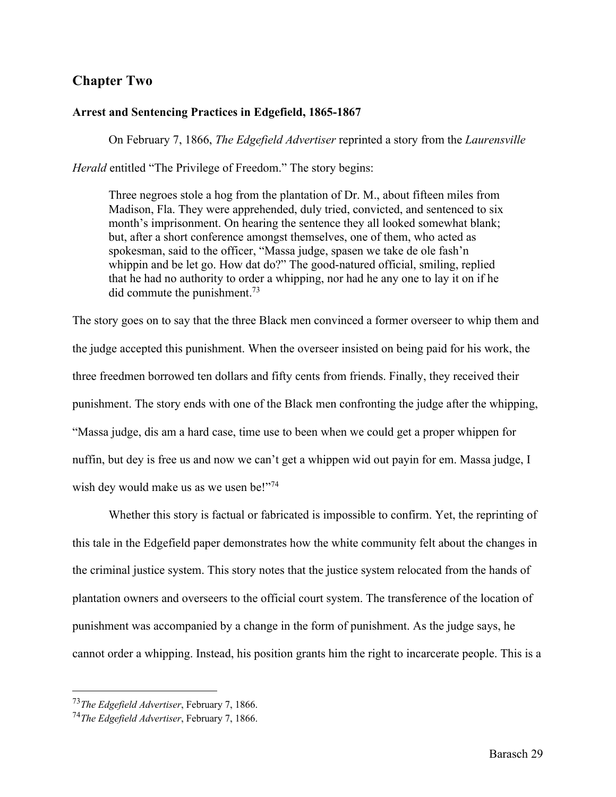# **Chapter Two**

#### **Arrest and Sentencing Practices in Edgefield, 1865-1867**

On February 7, 1866, *The Edgefield Advertiser* reprinted a story from the *Laurensville* 

*Herald* entitled "The Privilege of Freedom." The story begins:

Three negroes stole a hog from the plantation of Dr. M., about fifteen miles from Madison, Fla. They were apprehended, duly tried, convicted, and sentenced to six month's imprisonment. On hearing the sentence they all looked somewhat blank; but, after a short conference amongst themselves, one of them, who acted as spokesman, said to the officer, "Massa judge, spasen we take de ole fash'n whippin and be let go. How dat do?" The good-natured official, smiling, replied that he had no authority to order a whipping, nor had he any one to lay it on if he did commute the punishment.73

The story goes on to say that the three Black men convinced a former overseer to whip them and the judge accepted this punishment. When the overseer insisted on being paid for his work, the three freedmen borrowed ten dollars and fifty cents from friends. Finally, they received their punishment. The story ends with one of the Black men confronting the judge after the whipping, "Massa judge, dis am a hard case, time use to been when we could get a proper whippen for nuffin, but dey is free us and now we can't get a whippen wid out payin for em. Massa judge, I wish dey would make us as we usen be!"74

Whether this story is factual or fabricated is impossible to confirm. Yet, the reprinting of this tale in the Edgefield paper demonstrates how the white community felt about the changes in the criminal justice system. This story notes that the justice system relocated from the hands of plantation owners and overseers to the official court system. The transference of the location of punishment was accompanied by a change in the form of punishment. As the judge says, he cannot order a whipping. Instead, his position grants him the right to incarcerate people. This is a

<sup>73</sup>*The Edgefield Advertiser*, February 7, 1866.

<sup>74</sup>*The Edgefield Advertiser*, February 7, 1866.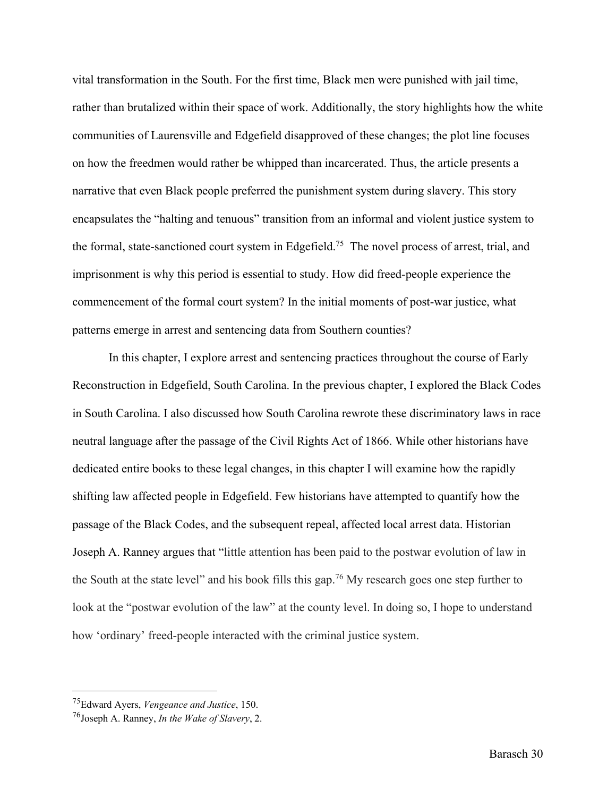vital transformation in the South. For the first time, Black men were punished with jail time, rather than brutalized within their space of work. Additionally, the story highlights how the white communities of Laurensville and Edgefield disapproved of these changes; the plot line focuses on how the freedmen would rather be whipped than incarcerated. Thus, the article presents a narrative that even Black people preferred the punishment system during slavery. This story encapsulates the "halting and tenuous" transition from an informal and violent justice system to the formal, state-sanctioned court system in Edgefield.75 The novel process of arrest, trial, and imprisonment is why this period is essential to study. How did freed-people experience the commencement of the formal court system? In the initial moments of post-war justice, what patterns emerge in arrest and sentencing data from Southern counties?

In this chapter, I explore arrest and sentencing practices throughout the course of Early Reconstruction in Edgefield, South Carolina. In the previous chapter, I explored the Black Codes in South Carolina. I also discussed how South Carolina rewrote these discriminatory laws in race neutral language after the passage of the Civil Rights Act of 1866. While other historians have dedicated entire books to these legal changes, in this chapter I will examine how the rapidly shifting law affected people in Edgefield. Few historians have attempted to quantify how the passage of the Black Codes, and the subsequent repeal, affected local arrest data. Historian Joseph A. Ranney argues that "little attention has been paid to the postwar evolution of law in the South at the state level" and his book fills this gap.76 My research goes one step further to look at the "postwar evolution of the law" at the county level. In doing so, I hope to understand how 'ordinary' freed-people interacted with the criminal justice system.

<sup>75</sup>Edward Ayers, *Vengeance and Justice*, 150.

<sup>76</sup>Joseph A. Ranney, *In the Wake of Slavery*, 2.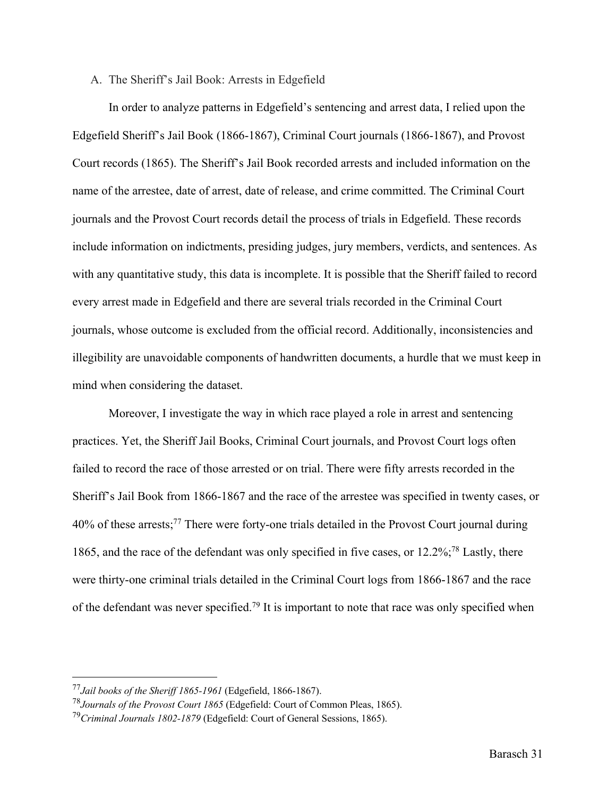#### A. The Sheriff's Jail Book: Arrests in Edgefield

In order to analyze patterns in Edgefield's sentencing and arrest data, I relied upon the Edgefield Sheriff's Jail Book (1866-1867), Criminal Court journals (1866-1867), and Provost Court records (1865). The Sheriff's Jail Book recorded arrests and included information on the name of the arrestee, date of arrest, date of release, and crime committed. The Criminal Court journals and the Provost Court records detail the process of trials in Edgefield. These records include information on indictments, presiding judges, jury members, verdicts, and sentences. As with any quantitative study, this data is incomplete. It is possible that the Sheriff failed to record every arrest made in Edgefield and there are several trials recorded in the Criminal Court journals, whose outcome is excluded from the official record. Additionally, inconsistencies and illegibility are unavoidable components of handwritten documents, a hurdle that we must keep in mind when considering the dataset.

Moreover, I investigate the way in which race played a role in arrest and sentencing practices. Yet, the Sheriff Jail Books, Criminal Court journals, and Provost Court logs often failed to record the race of those arrested or on trial. There were fifty arrests recorded in the Sheriff's Jail Book from 1866-1867 and the race of the arrestee was specified in twenty cases, or 40% of these arrests; <sup>77</sup> There were forty-one trials detailed in the Provost Court journal during 1865, and the race of the defendant was only specified in five cases, or 12.2%; <sup>78</sup> Lastly, there were thirty-one criminal trials detailed in the Criminal Court logs from 1866-1867 and the race of the defendant was never specified.<sup>79</sup> It is important to note that race was only specified when

<sup>77</sup>*Jail books of the Sheriff 1865-1961* (Edgefield, 1866-1867).

<sup>78</sup>*Journals of the Provost Court 1865* (Edgefield: Court of Common Pleas, 1865).

<sup>79</sup>*Criminal Journals 1802-1879* (Edgefield: Court of General Sessions, 1865).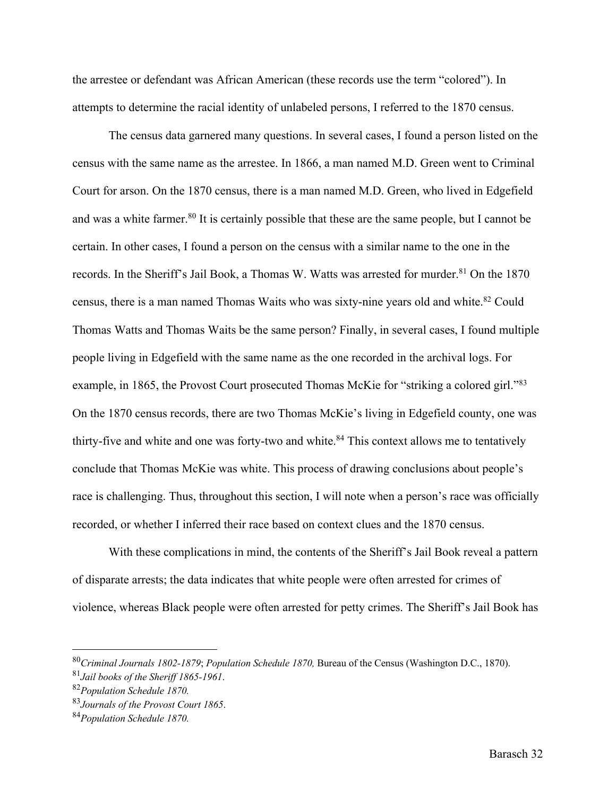the arrestee or defendant was African American (these records use the term "colored"). In attempts to determine the racial identity of unlabeled persons, I referred to the 1870 census.

The census data garnered many questions. In several cases, I found a person listed on the census with the same name as the arrestee. In 1866, a man named M.D. Green went to Criminal Court for arson. On the 1870 census, there is a man named M.D. Green, who lived in Edgefield and was a white farmer.<sup>80</sup> It is certainly possible that these are the same people, but I cannot be certain. In other cases, I found a person on the census with a similar name to the one in the records. In the Sheriff's Jail Book, a Thomas W. Watts was arrested for murder.<sup>81</sup> On the 1870 census, there is a man named Thomas Waits who was sixty-nine years old and white.<sup>82</sup> Could Thomas Watts and Thomas Waits be the same person? Finally, in several cases, I found multiple people living in Edgefield with the same name as the one recorded in the archival logs. For example, in 1865, the Provost Court prosecuted Thomas McKie for "striking a colored girl."<sup>83</sup> On the 1870 census records, there are two Thomas McKie's living in Edgefield county, one was thirty-five and white and one was forty-two and white.<sup>84</sup> This context allows me to tentatively conclude that Thomas McKie was white. This process of drawing conclusions about people's race is challenging. Thus, throughout this section, I will note when a person's race was officially recorded, or whether I inferred their race based on context clues and the 1870 census.

With these complications in mind, the contents of the Sheriff's Jail Book reveal a pattern of disparate arrests; the data indicates that white people were often arrested for crimes of violence, whereas Black people were often arrested for petty crimes. The Sheriff's Jail Book has

<sup>80</sup>*Criminal Journals 1802-1879*; *Population Schedule 1870,* Bureau of the Census (Washington D.C., 1870). 81*Jail books of the Sheriff 1865-1961*. 82*Population Schedule 1870.*

<sup>83</sup>*Journals of the Provost Court 1865*.

<sup>84</sup>*Population Schedule 1870.*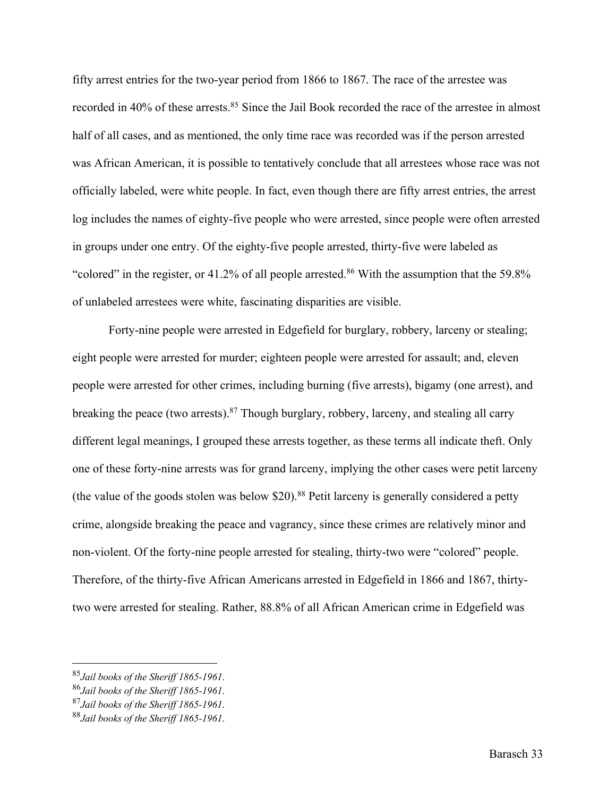fifty arrest entries for the two-year period from 1866 to 1867. The race of the arrestee was recorded in 40% of these arrests.<sup>85</sup> Since the Jail Book recorded the race of the arrestee in almost half of all cases, and as mentioned, the only time race was recorded was if the person arrested was African American, it is possible to tentatively conclude that all arrestees whose race was not officially labeled, were white people. In fact, even though there are fifty arrest entries, the arrest log includes the names of eighty-five people who were arrested, since people were often arrested in groups under one entry. Of the eighty-five people arrested, thirty-five were labeled as "colored" in the register, or 41.2% of all people arrested.<sup>86</sup> With the assumption that the 59.8% of unlabeled arrestees were white, fascinating disparities are visible.

Forty-nine people were arrested in Edgefield for burglary, robbery, larceny or stealing; eight people were arrested for murder; eighteen people were arrested for assault; and, eleven people were arrested for other crimes, including burning (five arrests), bigamy (one arrest), and breaking the peace (two arrests).<sup>87</sup> Though burglary, robbery, larceny, and stealing all carry different legal meanings, I grouped these arrests together, as these terms all indicate theft. Only one of these forty-nine arrests was for grand larceny, implying the other cases were petit larceny (the value of the goods stolen was below  $$20$ ).<sup>88</sup> Petit larceny is generally considered a petty crime, alongside breaking the peace and vagrancy, since these crimes are relatively minor and non-violent. Of the forty-nine people arrested for stealing, thirty-two were "colored" people. Therefore, of the thirty-five African Americans arrested in Edgefield in 1866 and 1867, thirtytwo were arrested for stealing. Rather, 88.8% of all African American crime in Edgefield was

<sup>85</sup>*Jail books of the Sheriff 1865-1961*. 86*Jail books of the Sheriff 1865-1961*. 87*Jail books of the Sheriff 1865-1961*.

<sup>88</sup>*Jail books of the Sheriff 1865-1961*.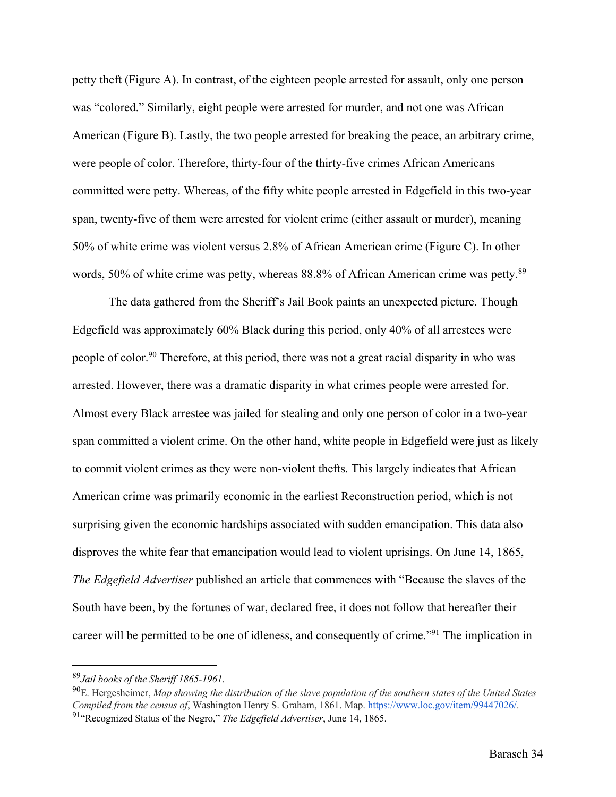petty theft (Figure A). In contrast, of the eighteen people arrested for assault, only one person was "colored." Similarly, eight people were arrested for murder, and not one was African American (Figure B). Lastly, the two people arrested for breaking the peace, an arbitrary crime, were people of color. Therefore, thirty-four of the thirty-five crimes African Americans committed were petty. Whereas, of the fifty white people arrested in Edgefield in this two-year span, twenty-five of them were arrested for violent crime (either assault or murder), meaning 50% of white crime was violent versus 2.8% of African American crime (Figure C). In other words, 50% of white crime was petty, whereas 88.8% of African American crime was petty.<sup>89</sup>

The data gathered from the Sheriff's Jail Book paints an unexpected picture. Though Edgefield was approximately 60% Black during this period, only 40% of all arrestees were people of color.<sup>90</sup> Therefore, at this period, there was not a great racial disparity in who was arrested. However, there was a dramatic disparity in what crimes people were arrested for. Almost every Black arrestee was jailed for stealing and only one person of color in a two-year span committed a violent crime. On the other hand, white people in Edgefield were just as likely to commit violent crimes as they were non-violent thefts. This largely indicates that African American crime was primarily economic in the earliest Reconstruction period, which is not surprising given the economic hardships associated with sudden emancipation. This data also disproves the white fear that emancipation would lead to violent uprisings. On June 14, 1865, *The Edgefield Advertiser* published an article that commences with "Because the slaves of the South have been, by the fortunes of war, declared free, it does not follow that hereafter their career will be permitted to be one of idleness, and consequently of crime."91 The implication in

<sup>&</sup>lt;sup>89</sup>Jail books of the Sheriff 1865-1961.<br><sup>90</sup>E. Hergesheimer, *Map showing the distribution of the slave population of the southern states of the United States Compiled from the census of*, Washington Henry S. Graham, 1861. Map. https://www.loc.gov/item/99447026/. 91"Recognized Status of the Negro," *The Edgefield Advertiser*, June 14, 1865.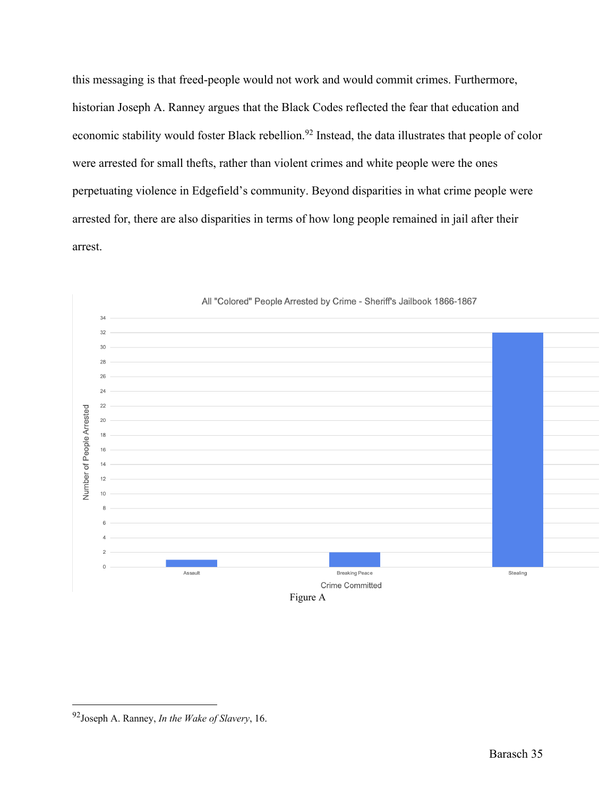this messaging is that freed-people would not work and would commit crimes. Furthermore, historian Joseph A. Ranney argues that the Black Codes reflected the fear that education and economic stability would foster Black rebellion.<sup>92</sup> Instead, the data illustrates that people of color were arrested for small thefts, rather than violent crimes and white people were the ones perpetuating violence in Edgefield's community. Beyond disparities in what crime people were arrested for, there are also disparities in terms of how long people remained in jail after their arrest.



All "Colored" People Arrested by Crime - Sheriff's Jailbook 1866-1867

<sup>92</sup>Joseph A. Ranney, *In the Wake of Slavery*, 16.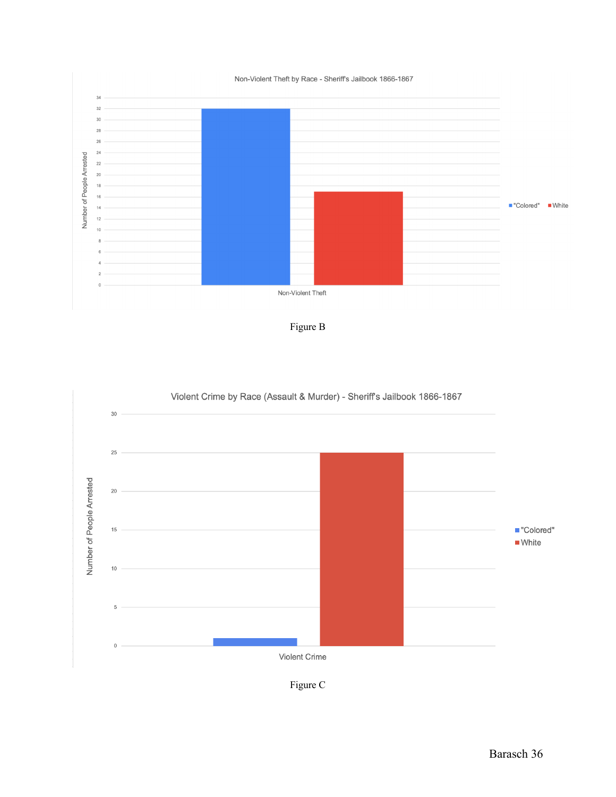





Figure C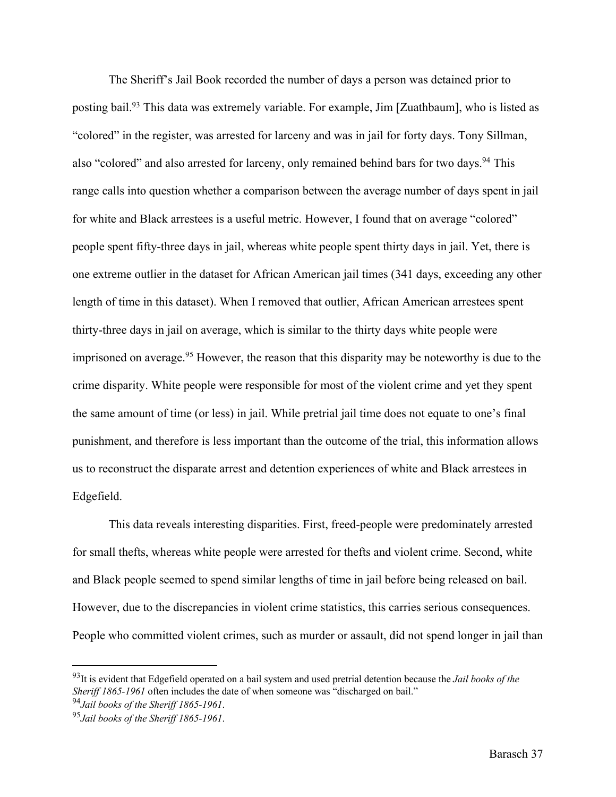The Sheriff's Jail Book recorded the number of days a person was detained prior to posting bail.93 This data was extremely variable. For example, Jim [Zuathbaum], who is listed as "colored" in the register, was arrested for larceny and was in jail for forty days. Tony Sillman, also "colored" and also arrested for larceny, only remained behind bars for two days.<sup>94</sup> This range calls into question whether a comparison between the average number of days spent in jail for white and Black arrestees is a useful metric. However, I found that on average "colored" people spent fifty-three days in jail, whereas white people spent thirty days in jail. Yet, there is one extreme outlier in the dataset for African American jail times (341 days, exceeding any other length of time in this dataset). When I removed that outlier, African American arrestees spent thirty-three days in jail on average, which is similar to the thirty days white people were imprisoned on average.<sup>95</sup> However, the reason that this disparity may be noteworthy is due to the crime disparity. White people were responsible for most of the violent crime and yet they spent the same amount of time (or less) in jail. While pretrial jail time does not equate to one's final punishment, and therefore is less important than the outcome of the trial, this information allows us to reconstruct the disparate arrest and detention experiences of white and Black arrestees in Edgefield.

This data reveals interesting disparities. First, freed-people were predominately arrested for small thefts, whereas white people were arrested for thefts and violent crime. Second, white and Black people seemed to spend similar lengths of time in jail before being released on bail. However, due to the discrepancies in violent crime statistics, this carries serious consequences. People who committed violent crimes, such as murder or assault, did not spend longer in jail than

<sup>93</sup>It is evident that Edgefield operated on a bail system and used pretrial detention because the *Jail books of the Sheriff 1865-1961* often includes the date of when someone was "discharged on bail." <sup>94</sup>*Jail books of the Sheriff 1865-1961*. <sup>95</sup>*Jail books of the Sheriff 1865-1961*.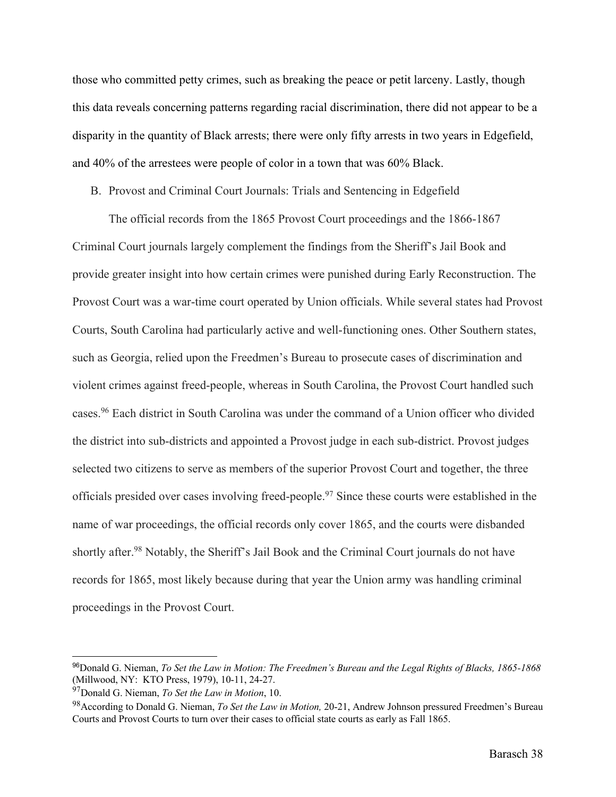those who committed petty crimes, such as breaking the peace or petit larceny. Lastly, though this data reveals concerning patterns regarding racial discrimination, there did not appear to be a disparity in the quantity of Black arrests; there were only fifty arrests in two years in Edgefield, and 40% of the arrestees were people of color in a town that was 60% Black.

B. Provost and Criminal Court Journals: Trials and Sentencing in Edgefield

The official records from the 1865 Provost Court proceedings and the 1866-1867 Criminal Court journals largely complement the findings from the Sheriff's Jail Book and provide greater insight into how certain crimes were punished during Early Reconstruction. The Provost Court was a war-time court operated by Union officials. While several states had Provost Courts, South Carolina had particularly active and well-functioning ones. Other Southern states, such as Georgia, relied upon the Freedmen's Bureau to prosecute cases of discrimination and violent crimes against freed-people, whereas in South Carolina, the Provost Court handled such cases.96 Each district in South Carolina was under the command of a Union officer who divided the district into sub-districts and appointed a Provost judge in each sub-district. Provost judges selected two citizens to serve as members of the superior Provost Court and together, the three officials presided over cases involving freed-people.97 Since these courts were established in the name of war proceedings, the official records only cover 1865, and the courts were disbanded shortly after.<sup>98</sup> Notably, the Sheriff's Jail Book and the Criminal Court journals do not have records for 1865, most likely because during that year the Union army was handling criminal proceedings in the Provost Court.

<sup>96</sup>Donald G. Nieman, *To Set the Law in Motion: The Freedmen's Bureau and the Legal Rights of Blacks, 1865-1868* (Millwood, NY: KTO Press, 1979), 10-11, 24-27.

<sup>97</sup>Donald G. Nieman, *To Set the Law in Motion*, 10.

<sup>98</sup>According to Donald G. Nieman, *To Set the Law in Motion,* 20-21, Andrew Johnson pressured Freedmen's Bureau Courts and Provost Courts to turn over their cases to official state courts as early as Fall 1865.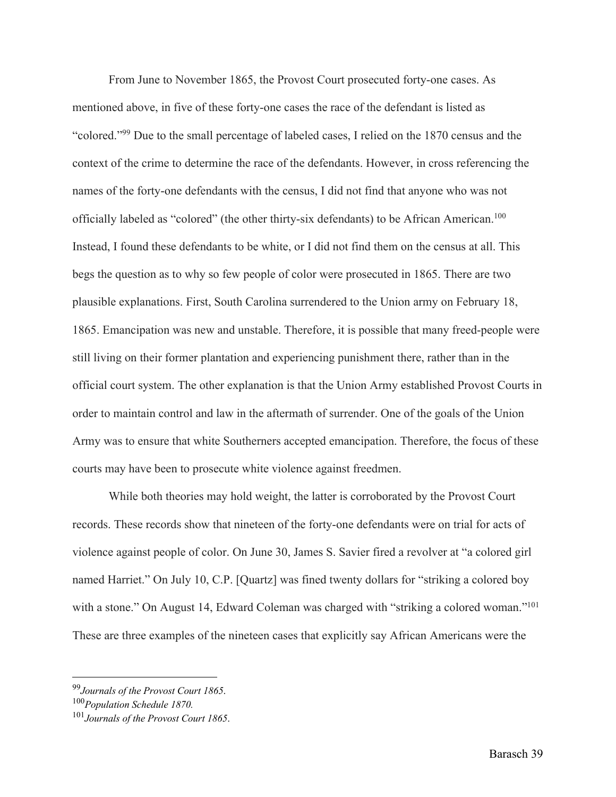From June to November 1865, the Provost Court prosecuted forty-one cases. As mentioned above, in five of these forty-one cases the race of the defendant is listed as "colored."99 Due to the small percentage of labeled cases, I relied on the 1870 census and the context of the crime to determine the race of the defendants. However, in cross referencing the names of the forty-one defendants with the census, I did not find that anyone who was not officially labeled as "colored" (the other thirty-six defendants) to be African American.<sup>100</sup> Instead, I found these defendants to be white, or I did not find them on the census at all. This begs the question as to why so few people of color were prosecuted in 1865. There are two plausible explanations. First, South Carolina surrendered to the Union army on February 18, 1865. Emancipation was new and unstable. Therefore, it is possible that many freed-people were still living on their former plantation and experiencing punishment there, rather than in the official court system. The other explanation is that the Union Army established Provost Courts in order to maintain control and law in the aftermath of surrender. One of the goals of the Union Army was to ensure that white Southerners accepted emancipation. Therefore, the focus of these courts may have been to prosecute white violence against freedmen.

While both theories may hold weight, the latter is corroborated by the Provost Court records. These records show that nineteen of the forty-one defendants were on trial for acts of violence against people of color. On June 30, James S. Savier fired a revolver at "a colored girl named Harriet." On July 10, C.P. [Quartz] was fined twenty dollars for "striking a colored boy with a stone." On August 14, Edward Coleman was charged with "striking a colored woman."<sup>101</sup> These are three examples of the nineteen cases that explicitly say African Americans were the

<sup>99</sup>*Journals of the Provost Court 1865*. 100*Population Schedule 1870.*

<sup>101</sup>*Journals of the Provost Court 1865*.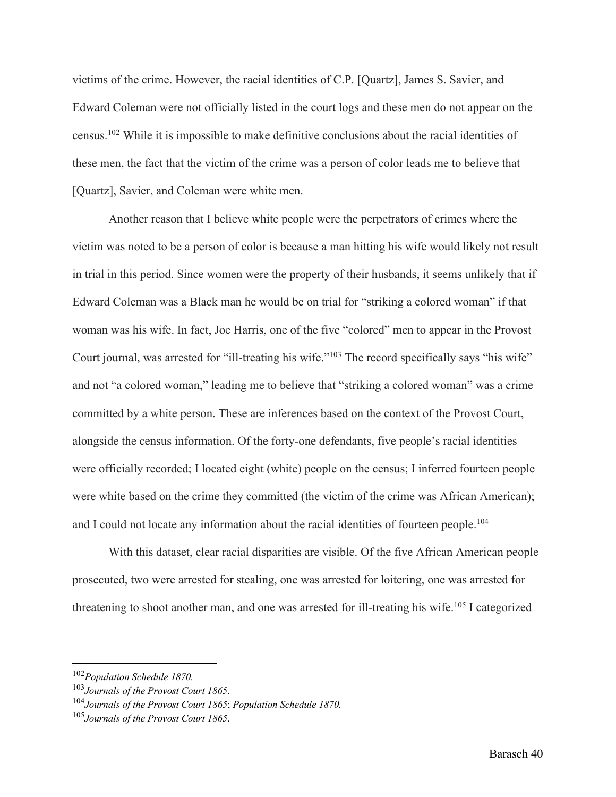victims of the crime. However, the racial identities of C.P. [Quartz], James S. Savier, and Edward Coleman were not officially listed in the court logs and these men do not appear on the census.102 While it is impossible to make definitive conclusions about the racial identities of these men, the fact that the victim of the crime was a person of color leads me to believe that [Quartz], Savier, and Coleman were white men.

Another reason that I believe white people were the perpetrators of crimes where the victim was noted to be a person of color is because a man hitting his wife would likely not result in trial in this period. Since women were the property of their husbands, it seems unlikely that if Edward Coleman was a Black man he would be on trial for "striking a colored woman" if that woman was his wife. In fact, Joe Harris, one of the five "colored" men to appear in the Provost Court journal, was arrested for "ill-treating his wife."<sup>103</sup> The record specifically says "his wife" and not "a colored woman," leading me to believe that "striking a colored woman" was a crime committed by a white person. These are inferences based on the context of the Provost Court, alongside the census information. Of the forty-one defendants, five people's racial identities were officially recorded; I located eight (white) people on the census; I inferred fourteen people were white based on the crime they committed (the victim of the crime was African American); and I could not locate any information about the racial identities of fourteen people.<sup>104</sup>

With this dataset, clear racial disparities are visible. Of the five African American people prosecuted, two were arrested for stealing, one was arrested for loitering, one was arrested for threatening to shoot another man, and one was arrested for ill-treating his wife.<sup>105</sup> I categorized

<sup>102</sup>*Population Schedule 1870.*

<sup>103</sup>*Journals of the Provost Court 1865*.

<sup>104</sup>*Journals of the Provost Court 1865*; *Population Schedule 1870.* 105*Journals of the Provost Court 1865*.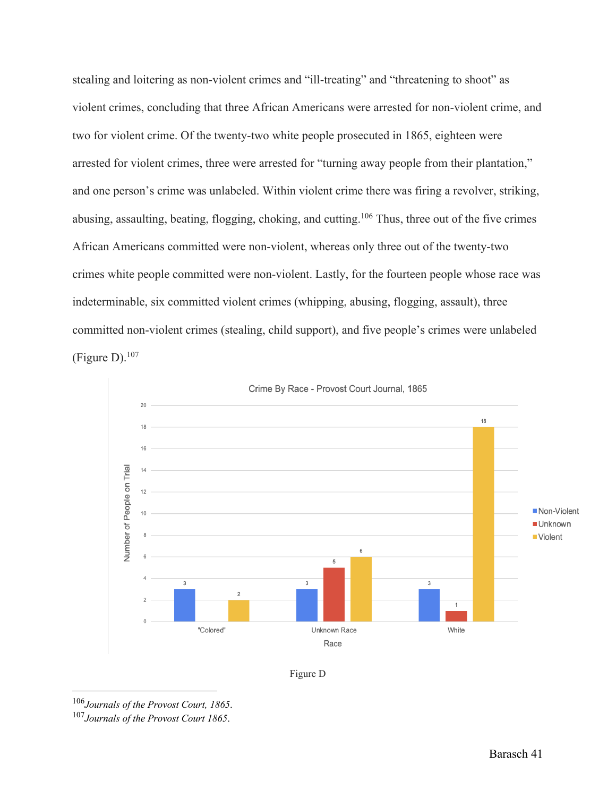stealing and loitering as non-violent crimes and "ill-treating" and "threatening to shoot" as violent crimes, concluding that three African Americans were arrested for non-violent crime, and two for violent crime. Of the twenty-two white people prosecuted in 1865, eighteen were arrested for violent crimes, three were arrested for "turning away people from their plantation," and one person's crime was unlabeled. Within violent crime there was firing a revolver, striking, abusing, assaulting, beating, flogging, choking, and cutting.106 Thus, three out of the five crimes African Americans committed were non-violent, whereas only three out of the twenty-two crimes white people committed were non-violent. Lastly, for the fourteen people whose race was indeterminable, six committed violent crimes (whipping, abusing, flogging, assault), three committed non-violent crimes (stealing, child support), and five people's crimes were unlabeled (Figure D). $107$ 





<sup>106</sup>*Journals of the Provost Court, 1865*. 107*Journals of the Provost Court 1865*.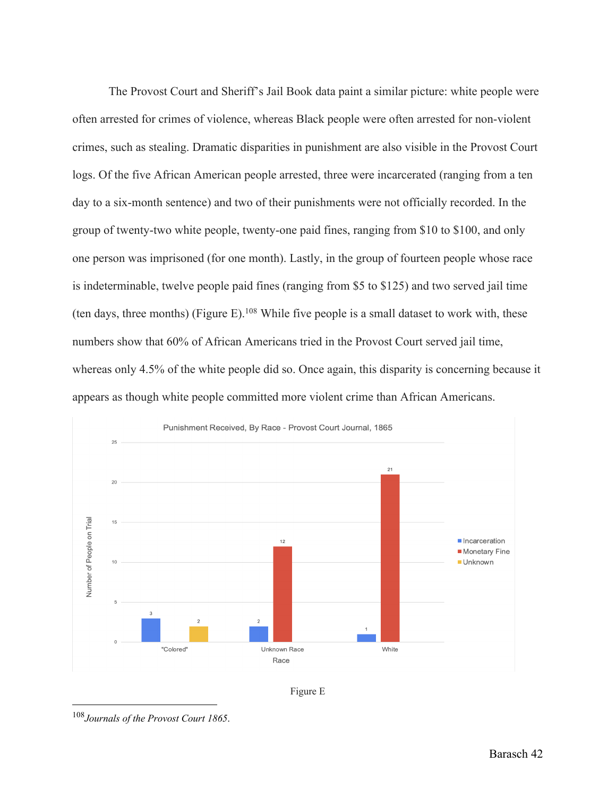The Provost Court and Sheriff's Jail Book data paint a similar picture: white people were often arrested for crimes of violence, whereas Black people were often arrested for non-violent crimes, such as stealing. Dramatic disparities in punishment are also visible in the Provost Court logs. Of the five African American people arrested, three were incarcerated (ranging from a ten day to a six-month sentence) and two of their punishments were not officially recorded. In the group of twenty-two white people, twenty-one paid fines, ranging from \$10 to \$100, and only one person was imprisoned (for one month). Lastly, in the group of fourteen people whose race is indeterminable, twelve people paid fines (ranging from \$5 to \$125) and two served jail time (ten days, three months) (Figure E).<sup>108</sup> While five people is a small dataset to work with, these numbers show that 60% of African Americans tried in the Provost Court served jail time, whereas only 4.5% of the white people did so. Once again, this disparity is concerning because it appears as though white people committed more violent crime than African Americans.





<sup>108</sup>*Journals of the Provost Court 1865*.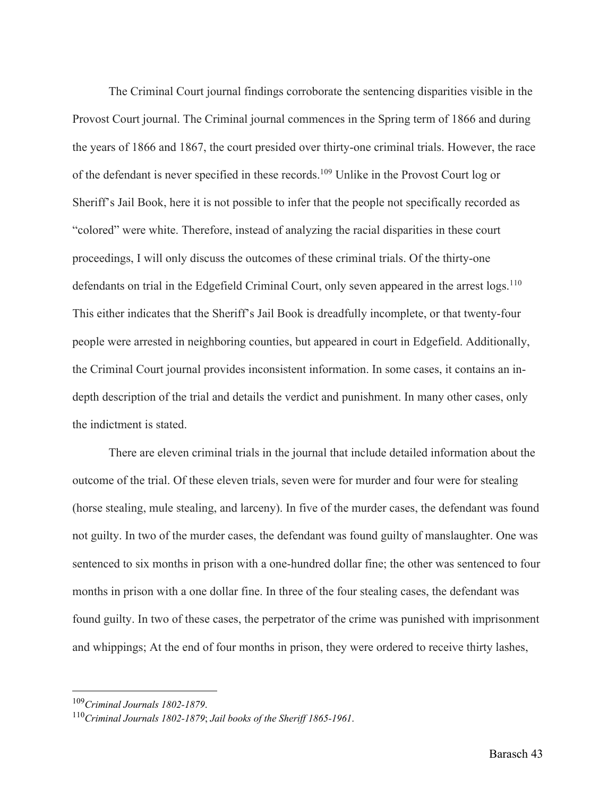The Criminal Court journal findings corroborate the sentencing disparities visible in the Provost Court journal. The Criminal journal commences in the Spring term of 1866 and during the years of 1866 and 1867, the court presided over thirty-one criminal trials. However, the race of the defendant is never specified in these records.109 Unlike in the Provost Court log or Sheriff's Jail Book, here it is not possible to infer that the people not specifically recorded as "colored" were white. Therefore, instead of analyzing the racial disparities in these court proceedings, I will only discuss the outcomes of these criminal trials. Of the thirty-one defendants on trial in the Edgefield Criminal Court, only seven appeared in the arrest logs.<sup>110</sup> This either indicates that the Sheriff's Jail Book is dreadfully incomplete, or that twenty-four people were arrested in neighboring counties, but appeared in court in Edgefield. Additionally, the Criminal Court journal provides inconsistent information. In some cases, it contains an indepth description of the trial and details the verdict and punishment. In many other cases, only the indictment is stated.

There are eleven criminal trials in the journal that include detailed information about the outcome of the trial. Of these eleven trials, seven were for murder and four were for stealing (horse stealing, mule stealing, and larceny). In five of the murder cases, the defendant was found not guilty. In two of the murder cases, the defendant was found guilty of manslaughter. One was sentenced to six months in prison with a one-hundred dollar fine; the other was sentenced to four months in prison with a one dollar fine. In three of the four stealing cases, the defendant was found guilty. In two of these cases, the perpetrator of the crime was punished with imprisonment and whippings; At the end of four months in prison, they were ordered to receive thirty lashes,

<sup>&</sup>lt;sup>109</sup>Criminal Journals 1802-1879.<br><sup>110</sup>Criminal Journals 1802-1879; Jail books of the Sheriff 1865-1961.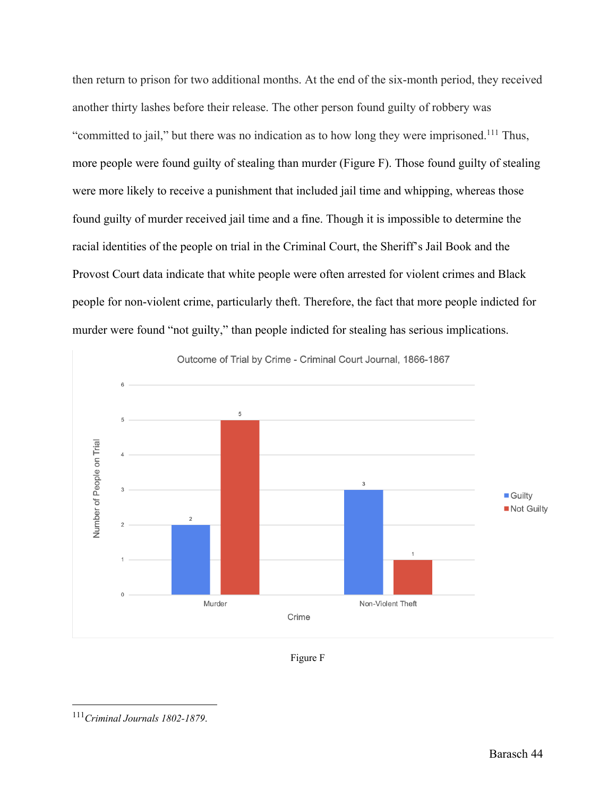then return to prison for two additional months. At the end of the six-month period, they received another thirty lashes before their release. The other person found guilty of robbery was "committed to jail," but there was no indication as to how long they were imprisoned.111 Thus, more people were found guilty of stealing than murder (Figure F). Those found guilty of stealing were more likely to receive a punishment that included jail time and whipping, whereas those found guilty of murder received jail time and a fine. Though it is impossible to determine the racial identities of the people on trial in the Criminal Court, the Sheriff's Jail Book and the Provost Court data indicate that white people were often arrested for violent crimes and Black people for non-violent crime, particularly theft. Therefore, the fact that more people indicted for murder were found "not guilty," than people indicted for stealing has serious implications.





<sup>111</sup>*Criminal Journals 1802-1879*.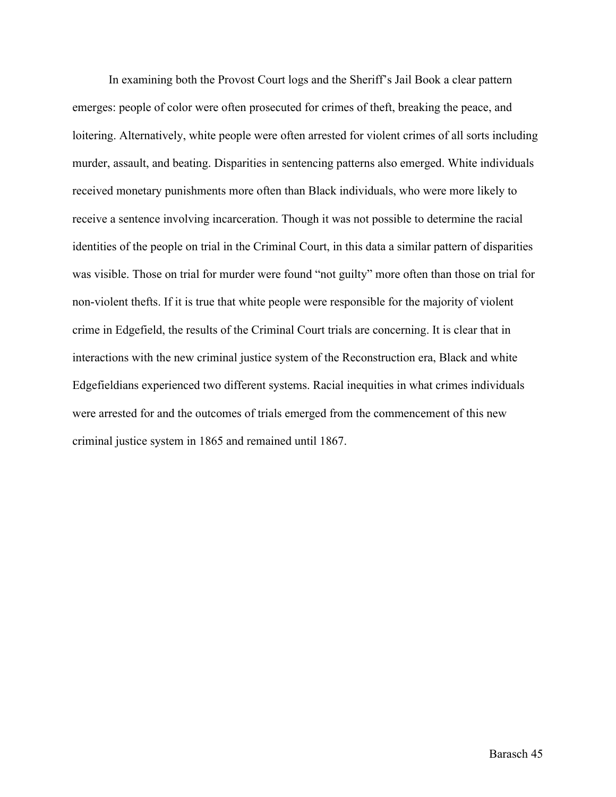In examining both the Provost Court logs and the Sheriff's Jail Book a clear pattern emerges: people of color were often prosecuted for crimes of theft, breaking the peace, and loitering. Alternatively, white people were often arrested for violent crimes of all sorts including murder, assault, and beating. Disparities in sentencing patterns also emerged. White individuals received monetary punishments more often than Black individuals, who were more likely to receive a sentence involving incarceration. Though it was not possible to determine the racial identities of the people on trial in the Criminal Court, in this data a similar pattern of disparities was visible. Those on trial for murder were found "not guilty" more often than those on trial for non-violent thefts. If it is true that white people were responsible for the majority of violent crime in Edgefield, the results of the Criminal Court trials are concerning. It is clear that in interactions with the new criminal justice system of the Reconstruction era, Black and white Edgefieldians experienced two different systems. Racial inequities in what crimes individuals were arrested for and the outcomes of trials emerged from the commencement of this new criminal justice system in 1865 and remained until 1867.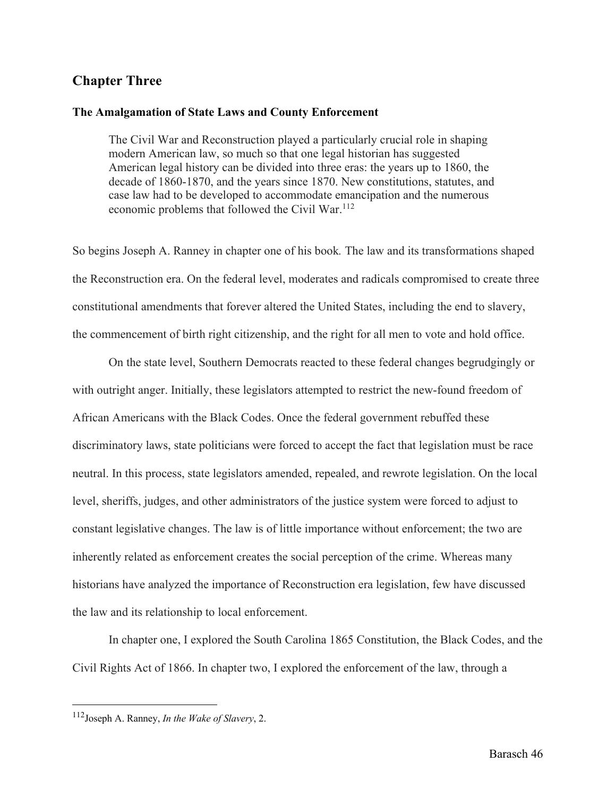# **Chapter Three**

#### **The Amalgamation of State Laws and County Enforcement**

The Civil War and Reconstruction played a particularly crucial role in shaping modern American law, so much so that one legal historian has suggested American legal history can be divided into three eras: the years up to 1860, the decade of 1860-1870, and the years since 1870. New constitutions, statutes, and case law had to be developed to accommodate emancipation and the numerous economic problems that followed the Civil War.<sup>112</sup>

So begins Joseph A. Ranney in chapter one of his book*.* The law and its transformations shaped the Reconstruction era. On the federal level, moderates and radicals compromised to create three constitutional amendments that forever altered the United States, including the end to slavery, the commencement of birth right citizenship, and the right for all men to vote and hold office.

On the state level, Southern Democrats reacted to these federal changes begrudgingly or with outright anger. Initially, these legislators attempted to restrict the new-found freedom of African Americans with the Black Codes. Once the federal government rebuffed these discriminatory laws, state politicians were forced to accept the fact that legislation must be race neutral. In this process, state legislators amended, repealed, and rewrote legislation. On the local level, sheriffs, judges, and other administrators of the justice system were forced to adjust to constant legislative changes. The law is of little importance without enforcement; the two are inherently related as enforcement creates the social perception of the crime. Whereas many historians have analyzed the importance of Reconstruction era legislation, few have discussed the law and its relationship to local enforcement.

In chapter one, I explored the South Carolina 1865 Constitution, the Black Codes, and the Civil Rights Act of 1866. In chapter two, I explored the enforcement of the law, through a

<sup>112</sup>Joseph A. Ranney, *In the Wake of Slavery*, 2.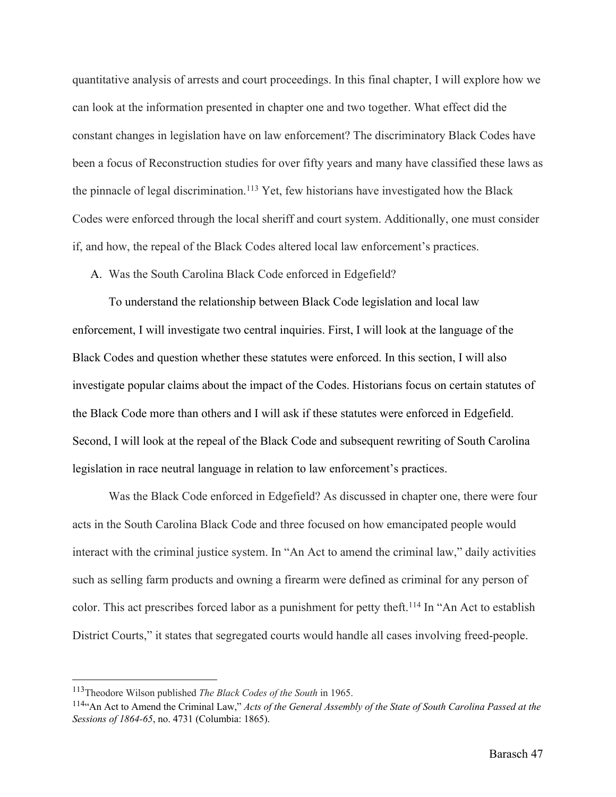quantitative analysis of arrests and court proceedings. In this final chapter, I will explore how we can look at the information presented in chapter one and two together. What effect did the constant changes in legislation have on law enforcement? The discriminatory Black Codes have been a focus of Reconstruction studies for over fifty years and many have classified these laws as the pinnacle of legal discrimination.<sup>113</sup> Yet, few historians have investigated how the Black Codes were enforced through the local sheriff and court system. Additionally, one must consider if, and how, the repeal of the Black Codes altered local law enforcement's practices.

A. Was the South Carolina Black Code enforced in Edgefield?

To understand the relationship between Black Code legislation and local law enforcement, I will investigate two central inquiries. First, I will look at the language of the Black Codes and question whether these statutes were enforced. In this section, I will also investigate popular claims about the impact of the Codes. Historians focus on certain statutes of the Black Code more than others and I will ask if these statutes were enforced in Edgefield. Second, I will look at the repeal of the Black Code and subsequent rewriting of South Carolina legislation in race neutral language in relation to law enforcement's practices.

Was the Black Code enforced in Edgefield? As discussed in chapter one, there were four acts in the South Carolina Black Code and three focused on how emancipated people would interact with the criminal justice system. In "An Act to amend the criminal law," daily activities such as selling farm products and owning a firearm were defined as criminal for any person of color. This act prescribes forced labor as a punishment for petty theft.<sup>114</sup> In "An Act to establish District Courts," it states that segregated courts would handle all cases involving freed-people.

<sup>113</sup>Theodore Wilson published *The Black Codes of the South* in 1965.

<sup>114&</sup>quot;An Act to Amend the Criminal Law," *Acts of the General Assembly of the State of South Carolina Passed at the Sessions of 1864-65*, no. 4731 (Columbia: 1865).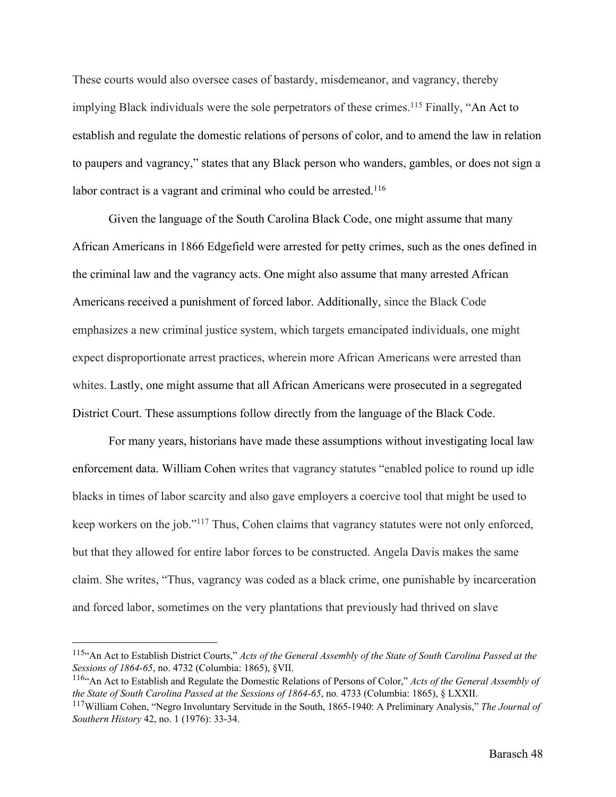These courts would also oversee cases of bastardy, misdemeanor, and vagrancy, thereby implying Black individuals were the sole perpetrators of these crimes.<sup>115</sup> Finally, "An Act to establish and regulate the domestic relations of persons of color, and to amend the law in relation to paupers and vagrancy," states that any Black person who wanders, gambles, or does not sign a labor contract is a vagrant and criminal who could be arrested.<sup>116</sup>

Given the language of the South Carolina Black Code, one might assume that many African Americans in 1866 Edgefield were arrested for petty crimes, such as the ones defined in the criminal law and the vagrancy acts. One might also assume that many arrested African Americans received a punishment of forced labor. Additionally, since the Black Code emphasizes a new criminal justice system, which targets emancipated individuals, one might expect disproportionate arrest practices, wherein more African Americans were arrested than whites. Lastly, one might assume that all African Americans were prosecuted in a segregated District Court. These assumptions follow directly from the language of the Black Code.

For many years, historians have made these assumptions without investigating local law enforcement data. William Cohen writes that vagrancy statutes "enabled police to round up idle blacks in times of labor scarcity and also gave employers a coercive tool that might be used to keep workers on the job."117 Thus, Cohen claims that vagrancy statutes were not only enforced, but that they allowed for entire labor forces to be constructed. Angela Davis makes the same claim. She writes, "Thus, vagrancy was coded as a black crime, one punishable by incarceration and forced labor, sometimes on the very plantations that previously had thrived on slave

<sup>115&</sup>quot;An Act to Establish District Courts," *Acts of the General Assembly of the State of South Carolina Passed at the Sessions of 1864-65*, no. 4732 (Columbia: 1865), §VII.<br><sup>116</sup><sup>4</sup>An Act to Establish and Regulate the Domestic Relations of Persons of Color," *Acts of the General Assembly of* 

*the State of South Carolina Passed at the Sessions of 1864-65*, no. 4733 (Columbia: 1865), § LXXII.

<sup>117</sup>William Cohen, "Negro Involuntary Servitude in the South, 1865-1940: A Preliminary Analysis," *The Journal of Southern History* 42, no. 1 (1976): 33-34.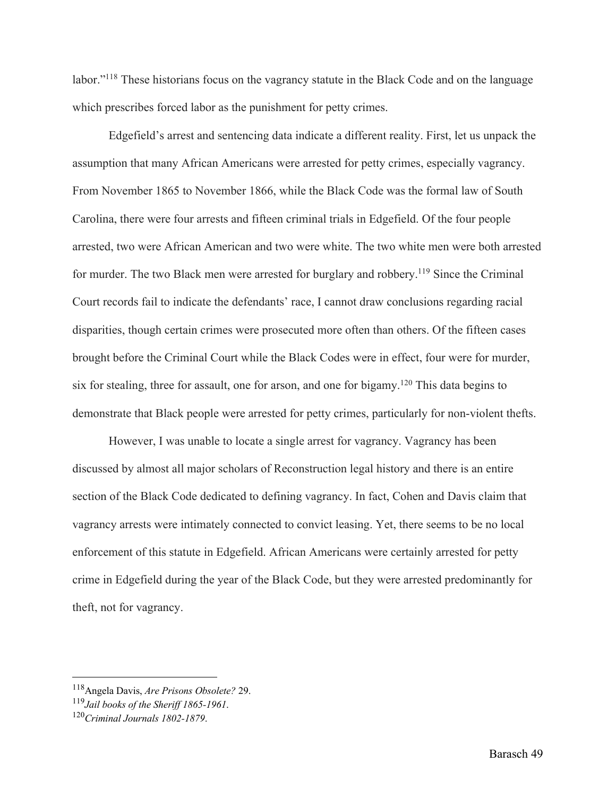labor."<sup>118</sup> These historians focus on the vagrancy statute in the Black Code and on the language which prescribes forced labor as the punishment for petty crimes.

Edgefield's arrest and sentencing data indicate a different reality. First, let us unpack the assumption that many African Americans were arrested for petty crimes, especially vagrancy. From November 1865 to November 1866, while the Black Code was the formal law of South Carolina, there were four arrests and fifteen criminal trials in Edgefield. Of the four people arrested, two were African American and two were white. The two white men were both arrested for murder. The two Black men were arrested for burglary and robbery.<sup>119</sup> Since the Criminal Court records fail to indicate the defendants' race, I cannot draw conclusions regarding racial disparities, though certain crimes were prosecuted more often than others. Of the fifteen cases brought before the Criminal Court while the Black Codes were in effect, four were for murder, six for stealing, three for assault, one for arson, and one for bigamy.<sup>120</sup> This data begins to demonstrate that Black people were arrested for petty crimes, particularly for non-violent thefts.

However, I was unable to locate a single arrest for vagrancy. Vagrancy has been discussed by almost all major scholars of Reconstruction legal history and there is an entire section of the Black Code dedicated to defining vagrancy. In fact, Cohen and Davis claim that vagrancy arrests were intimately connected to convict leasing. Yet, there seems to be no local enforcement of this statute in Edgefield. African Americans were certainly arrested for petty crime in Edgefield during the year of the Black Code, but they were arrested predominantly for theft, not for vagrancy.

<sup>118</sup>Angela Davis, *Are Prisons Obsolete?* 29.

<sup>119</sup>*Jail books of the Sheriff 1865-1961*.

<sup>120</sup>*Criminal Journals 1802-1879*.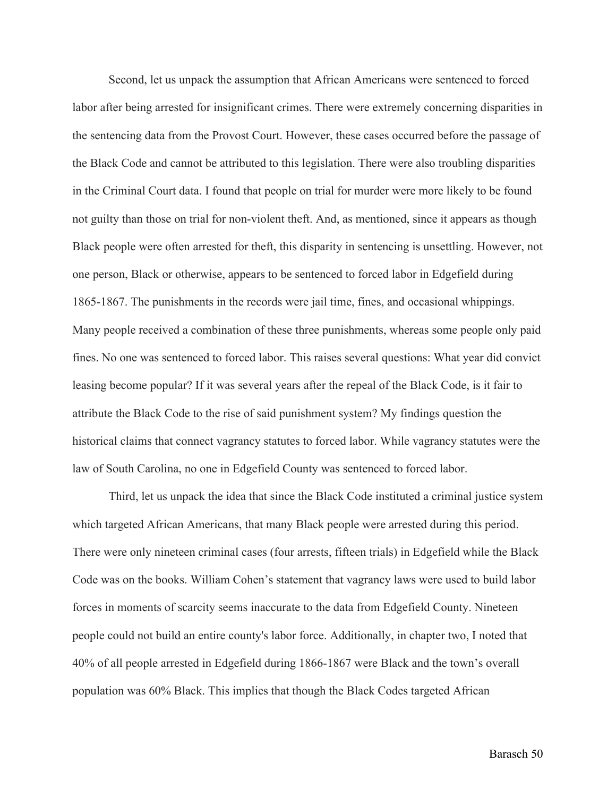Second, let us unpack the assumption that African Americans were sentenced to forced labor after being arrested for insignificant crimes. There were extremely concerning disparities in the sentencing data from the Provost Court. However, these cases occurred before the passage of the Black Code and cannot be attributed to this legislation. There were also troubling disparities in the Criminal Court data. I found that people on trial for murder were more likely to be found not guilty than those on trial for non-violent theft. And, as mentioned, since it appears as though Black people were often arrested for theft, this disparity in sentencing is unsettling. However, not one person, Black or otherwise, appears to be sentenced to forced labor in Edgefield during 1865-1867. The punishments in the records were jail time, fines, and occasional whippings. Many people received a combination of these three punishments, whereas some people only paid fines. No one was sentenced to forced labor. This raises several questions: What year did convict leasing become popular? If it was several years after the repeal of the Black Code, is it fair to attribute the Black Code to the rise of said punishment system? My findings question the historical claims that connect vagrancy statutes to forced labor. While vagrancy statutes were the law of South Carolina, no one in Edgefield County was sentenced to forced labor.

Third, let us unpack the idea that since the Black Code instituted a criminal justice system which targeted African Americans, that many Black people were arrested during this period. There were only nineteen criminal cases (four arrests, fifteen trials) in Edgefield while the Black Code was on the books. William Cohen's statement that vagrancy laws were used to build labor forces in moments of scarcity seems inaccurate to the data from Edgefield County. Nineteen people could not build an entire county's labor force. Additionally, in chapter two, I noted that 40% of all people arrested in Edgefield during 1866-1867 were Black and the town's overall population was 60% Black. This implies that though the Black Codes targeted African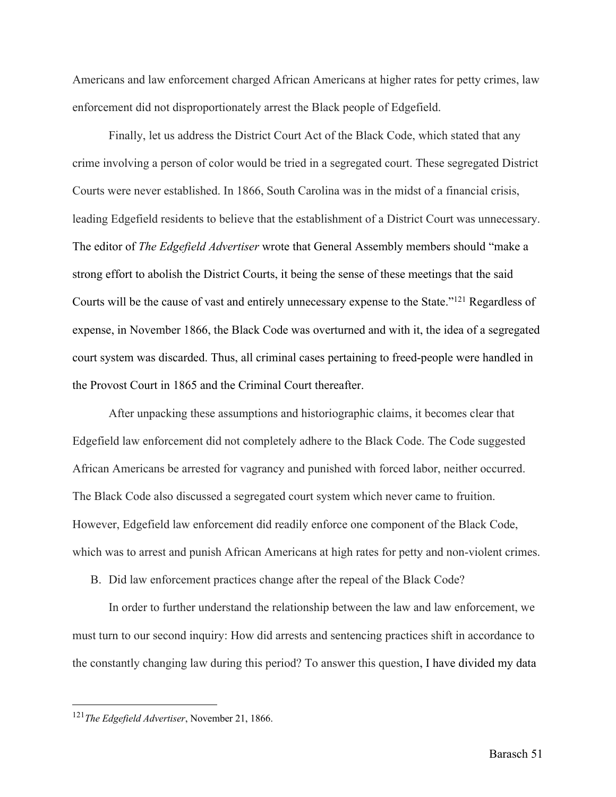Americans and law enforcement charged African Americans at higher rates for petty crimes, law enforcement did not disproportionately arrest the Black people of Edgefield.

Finally, let us address the District Court Act of the Black Code, which stated that any crime involving a person of color would be tried in a segregated court. These segregated District Courts were never established. In 1866, South Carolina was in the midst of a financial crisis, leading Edgefield residents to believe that the establishment of a District Court was unnecessary. The editor of *The Edgefield Advertiser* wrote that General Assembly members should "make a strong effort to abolish the District Courts, it being the sense of these meetings that the said Courts will be the cause of vast and entirely unnecessary expense to the State."121 Regardless of expense, in November 1866, the Black Code was overturned and with it, the idea of a segregated court system was discarded. Thus, all criminal cases pertaining to freed-people were handled in the Provost Court in 1865 and the Criminal Court thereafter.

After unpacking these assumptions and historiographic claims, it becomes clear that Edgefield law enforcement did not completely adhere to the Black Code. The Code suggested African Americans be arrested for vagrancy and punished with forced labor, neither occurred. The Black Code also discussed a segregated court system which never came to fruition. However, Edgefield law enforcement did readily enforce one component of the Black Code, which was to arrest and punish African Americans at high rates for petty and non-violent crimes.

B. Did law enforcement practices change after the repeal of the Black Code?

In order to further understand the relationship between the law and law enforcement, we must turn to our second inquiry: How did arrests and sentencing practices shift in accordance to the constantly changing law during this period? To answer this question, I have divided my data

<sup>121</sup>*The Edgefield Advertiser*, November 21, 1866.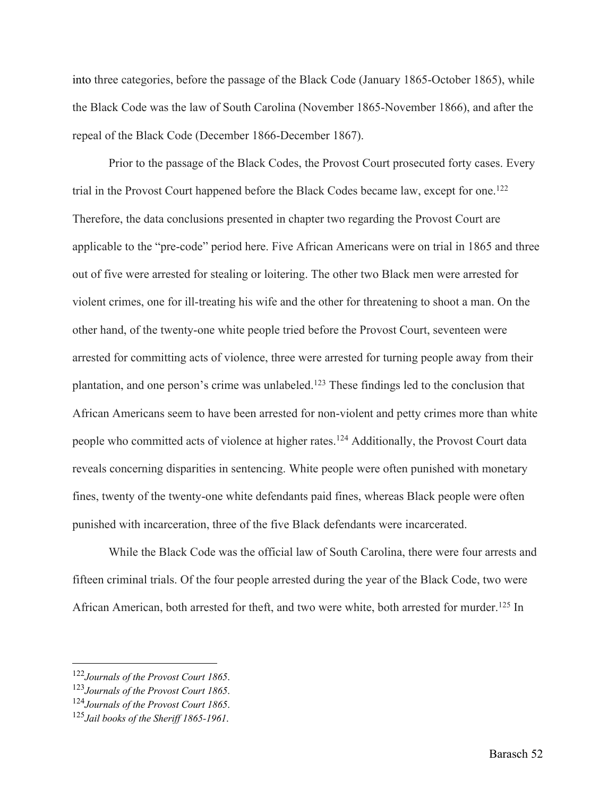into three categories, before the passage of the Black Code (January 1865-October 1865), while the Black Code was the law of South Carolina (November 1865-November 1866), and after the repeal of the Black Code (December 1866-December 1867).

Prior to the passage of the Black Codes, the Provost Court prosecuted forty cases. Every trial in the Provost Court happened before the Black Codes became law, except for one.<sup>122</sup> Therefore, the data conclusions presented in chapter two regarding the Provost Court are applicable to the "pre-code" period here. Five African Americans were on trial in 1865 and three out of five were arrested for stealing or loitering. The other two Black men were arrested for violent crimes, one for ill-treating his wife and the other for threatening to shoot a man. On the other hand, of the twenty-one white people tried before the Provost Court, seventeen were arrested for committing acts of violence, three were arrested for turning people away from their plantation, and one person's crime was unlabeled.123 These findings led to the conclusion that African Americans seem to have been arrested for non-violent and petty crimes more than white people who committed acts of violence at higher rates.<sup>124</sup> Additionally, the Provost Court data reveals concerning disparities in sentencing. White people were often punished with monetary fines, twenty of the twenty-one white defendants paid fines, whereas Black people were often punished with incarceration, three of the five Black defendants were incarcerated.

While the Black Code was the official law of South Carolina, there were four arrests and fifteen criminal trials. Of the four people arrested during the year of the Black Code, two were African American, both arrested for theft, and two were white, both arrested for murder.<sup>125</sup> In

<sup>122</sup>*Journals of the Provost Court 1865*. 123*Journals of the Provost Court 1865*.

<sup>124</sup>*Journals of the Provost Court 1865*. 125*Jail books of the Sheriff 1865-1961*.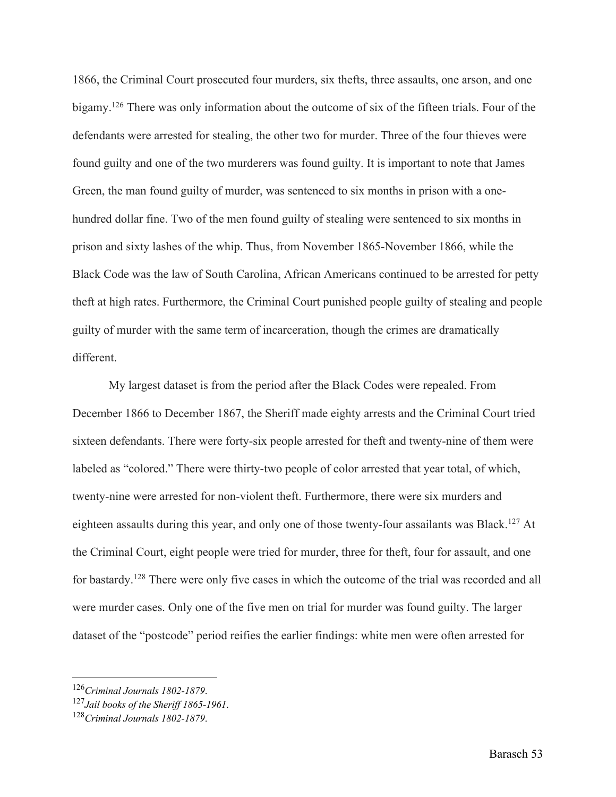1866, the Criminal Court prosecuted four murders, six thefts, three assaults, one arson, and one bigamy.<sup>126</sup> There was only information about the outcome of six of the fifteen trials. Four of the defendants were arrested for stealing, the other two for murder. Three of the four thieves were found guilty and one of the two murderers was found guilty. It is important to note that James Green, the man found guilty of murder, was sentenced to six months in prison with a onehundred dollar fine. Two of the men found guilty of stealing were sentenced to six months in prison and sixty lashes of the whip. Thus, from November 1865-November 1866, while the Black Code was the law of South Carolina, African Americans continued to be arrested for petty theft at high rates. Furthermore, the Criminal Court punished people guilty of stealing and people guilty of murder with the same term of incarceration, though the crimes are dramatically different.

My largest dataset is from the period after the Black Codes were repealed. From December 1866 to December 1867, the Sheriff made eighty arrests and the Criminal Court tried sixteen defendants. There were forty-six people arrested for theft and twenty-nine of them were labeled as "colored." There were thirty-two people of color arrested that year total, of which, twenty-nine were arrested for non-violent theft. Furthermore, there were six murders and eighteen assaults during this year, and only one of those twenty-four assailants was Black.<sup>127</sup> At the Criminal Court, eight people were tried for murder, three for theft, four for assault, and one for bastardy.<sup>128</sup> There were only five cases in which the outcome of the trial was recorded and all were murder cases. Only one of the five men on trial for murder was found guilty. The larger dataset of the "postcode" period reifies the earlier findings: white men were often arrested for

<sup>126</sup>*Criminal Journals 1802-1879*. 127*Jail books of the Sheriff 1865-1961*.

<sup>128</sup>*Criminal Journals 1802-1879*.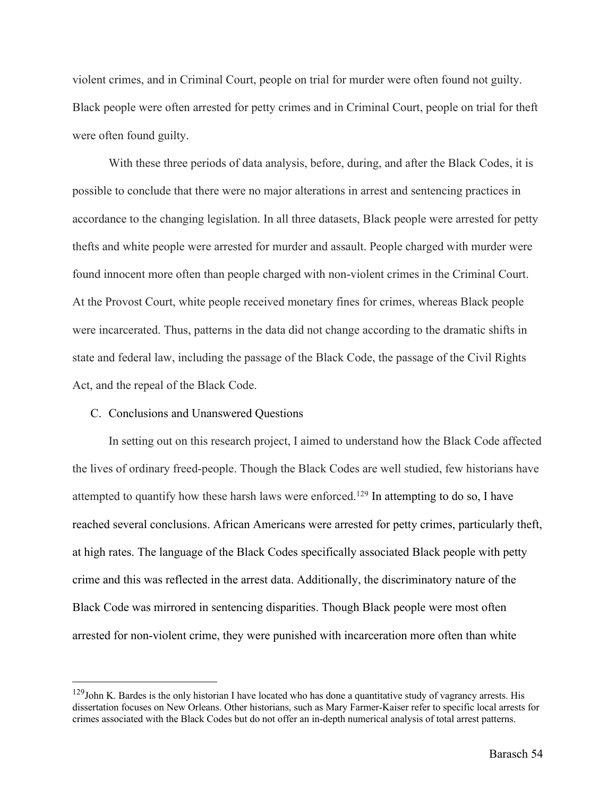violent crimes, and in Criminal Court, people on trial for murder were often found not guilty. Black people were often arrested for petty crimes and in Criminal Court, people on trial for theft were often found guilty.

With these three periods of data analysis, before, during, and after the Black Codes, it is possible to conclude that there were no major alterations in arrest and sentencing practices in accordance to the changing legislation. In all three datasets, Black people were arrested for petty thefts and white people were arrested for murder and assault. People charged with murder were found innocent more often than people charged with non-violent crimes in the Criminal Court. At the Provost Court, white people received monetary fines for crimes, whereas Black people were incarcerated. Thus, patterns in the data did not change according to the dramatic shifts in state and federal law, including the passage of the Black Code, the passage of the Civil Rights Act, and the repeal of the Black Code.

#### C. Conclusions and Unanswered Questions

In setting out on this research project, I aimed to understand how the Black Code affected the lives of ordinary freed-people. Though the Black Codes are well studied, few historians have attempted to quantify how these harsh laws were enforced.<sup>129</sup> In attempting to do so, I have reached several conclusions. African Americans were arrested for petty crimes, particularly theft, at high rates. The language of the Black Codes specifically associated Black people with petty crime and this was reflected in the arrest data. Additionally, the discriminatory nature of the Black Code was mirrored in sentencing disparities. Though Black people were most often arrested for non-violent crime, they were punished with incarceration more often than white

 $129$ John K. Bardes is the only historian I have located who has done a quantitative study of vagrancy arrests. His dissertation focuses on New Orleans. Other historians, such as Mary Farmer-Kaiser refer to specific local arrests for crimes associated with the Black Codes but do not offer an in-depth numerical analysis of total arrest patterns.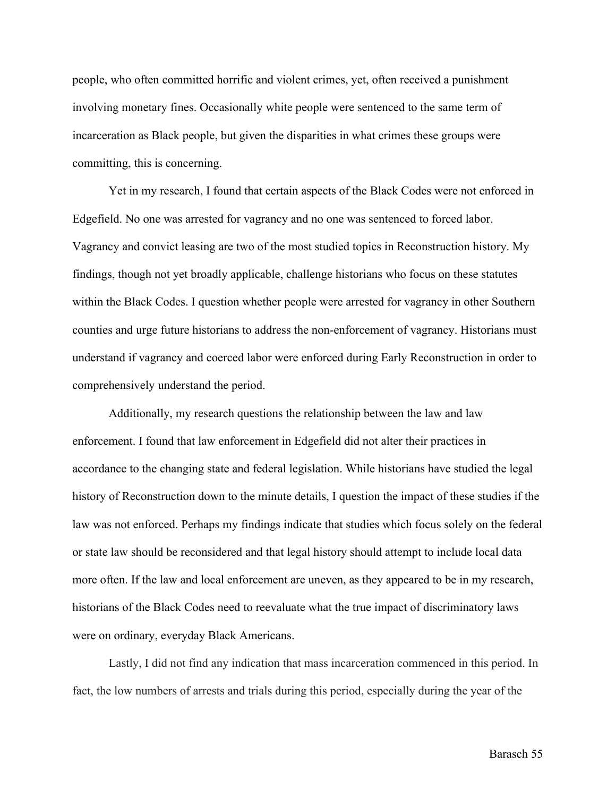people, who often committed horrific and violent crimes, yet, often received a punishment involving monetary fines. Occasionally white people were sentenced to the same term of incarceration as Black people, but given the disparities in what crimes these groups were committing, this is concerning.

Yet in my research, I found that certain aspects of the Black Codes were not enforced in Edgefield. No one was arrested for vagrancy and no one was sentenced to forced labor. Vagrancy and convict leasing are two of the most studied topics in Reconstruction history. My findings, though not yet broadly applicable, challenge historians who focus on these statutes within the Black Codes. I question whether people were arrested for vagrancy in other Southern counties and urge future historians to address the non-enforcement of vagrancy. Historians must understand if vagrancy and coerced labor were enforced during Early Reconstruction in order to comprehensively understand the period.

Additionally, my research questions the relationship between the law and law enforcement. I found that law enforcement in Edgefield did not alter their practices in accordance to the changing state and federal legislation. While historians have studied the legal history of Reconstruction down to the minute details, I question the impact of these studies if the law was not enforced. Perhaps my findings indicate that studies which focus solely on the federal or state law should be reconsidered and that legal history should attempt to include local data more often. If the law and local enforcement are uneven, as they appeared to be in my research, historians of the Black Codes need to reevaluate what the true impact of discriminatory laws were on ordinary, everyday Black Americans.

Lastly, I did not find any indication that mass incarceration commenced in this period. In fact, the low numbers of arrests and trials during this period, especially during the year of the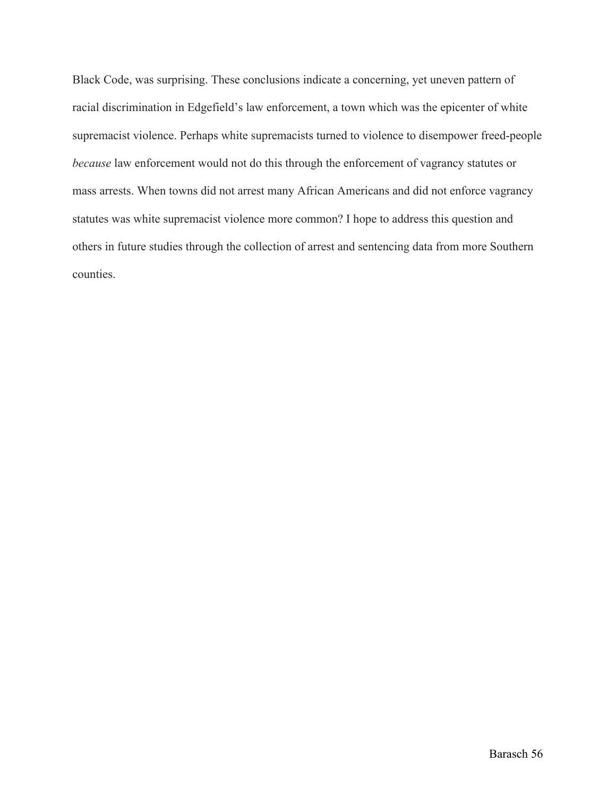Black Code, was surprising. These conclusions indicate a concerning, yet uneven pattern of racial discrimination in Edgefield's law enforcement, a town which was the epicenter of white supremacist violence. Perhaps white supremacists turned to violence to disempower freed-people *because* law enforcement would not do this through the enforcement of vagrancy statutes or mass arrests. When towns did not arrest many African Americans and did not enforce vagrancy statutes was white supremacist violence more common? I hope to address this question and others in future studies through the collection of arrest and sentencing data from more Southern counties.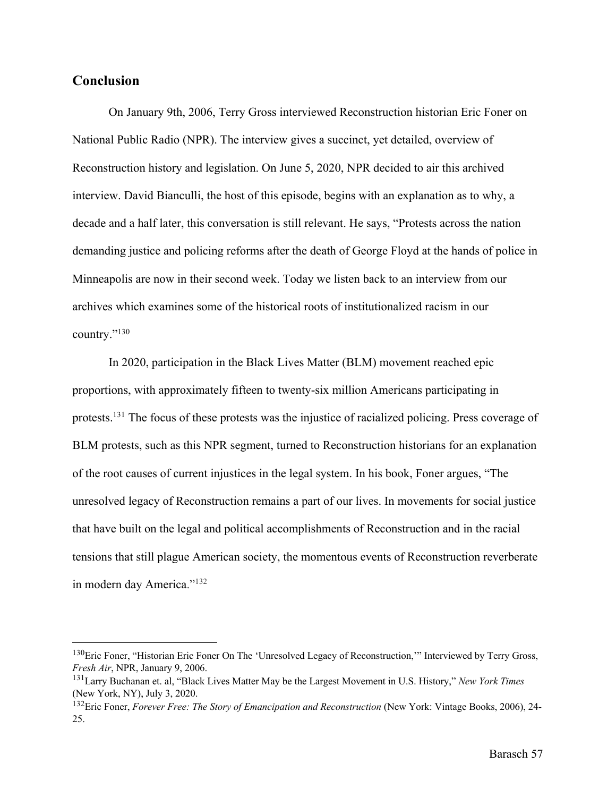## **Conclusion**

On January 9th, 2006, Terry Gross interviewed Reconstruction historian Eric Foner on National Public Radio (NPR). The interview gives a succinct, yet detailed, overview of Reconstruction history and legislation. On June 5, 2020, NPR decided to air this archived interview. David Bianculli, the host of this episode, begins with an explanation as to why, a decade and a half later, this conversation is still relevant. He says, "Protests across the nation demanding justice and policing reforms after the death of George Floyd at the hands of police in Minneapolis are now in their second week. Today we listen back to an interview from our archives which examines some of the historical roots of institutionalized racism in our country."130

In 2020, participation in the Black Lives Matter (BLM) movement reached epic proportions, with approximately fifteen to twenty-six million Americans participating in protests.131 The focus of these protests was the injustice of racialized policing. Press coverage of BLM protests, such as this NPR segment, turned to Reconstruction historians for an explanation of the root causes of current injustices in the legal system. In his book, Foner argues, "The unresolved legacy of Reconstruction remains a part of our lives. In movements for social justice that have built on the legal and political accomplishments of Reconstruction and in the racial tensions that still plague American society, the momentous events of Reconstruction reverberate in modern day America."<sup>132</sup>

<sup>&</sup>lt;sup>130</sup>Eric Foner, "Historian Eric Foner On The 'Unresolved Legacy of Reconstruction," Interviewed by Terry Gross, *Fresh Air*, NPR, January 9, 2006.

<sup>131</sup>Larry Buchanan et. al, "Black Lives Matter May be the Largest Movement in U.S. History," *New York Times* (New York, NY), July 3, 2020.

<sup>132</sup>Eric Foner, *Forever Free: The Story of Emancipation and Reconstruction* (New York: Vintage Books, 2006), 24- 25.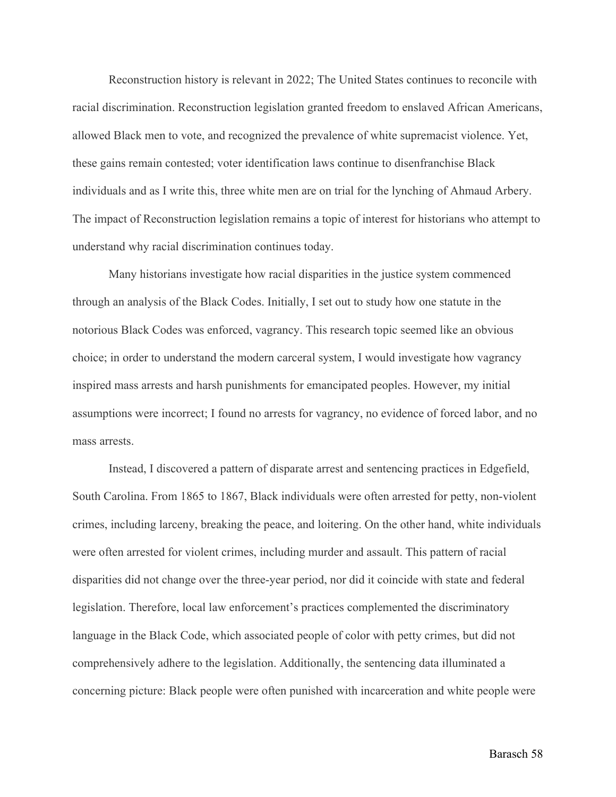Reconstruction history is relevant in 2022; The United States continues to reconcile with racial discrimination. Reconstruction legislation granted freedom to enslaved African Americans, allowed Black men to vote, and recognized the prevalence of white supremacist violence. Yet, these gains remain contested; voter identification laws continue to disenfranchise Black individuals and as I write this, three white men are on trial for the lynching of Ahmaud Arbery. The impact of Reconstruction legislation remains a topic of interest for historians who attempt to understand why racial discrimination continues today.

Many historians investigate how racial disparities in the justice system commenced through an analysis of the Black Codes. Initially, I set out to study how one statute in the notorious Black Codes was enforced, vagrancy. This research topic seemed like an obvious choice; in order to understand the modern carceral system, I would investigate how vagrancy inspired mass arrests and harsh punishments for emancipated peoples. However, my initial assumptions were incorrect; I found no arrests for vagrancy, no evidence of forced labor, and no mass arrests.

Instead, I discovered a pattern of disparate arrest and sentencing practices in Edgefield, South Carolina. From 1865 to 1867, Black individuals were often arrested for petty, non-violent crimes, including larceny, breaking the peace, and loitering. On the other hand, white individuals were often arrested for violent crimes, including murder and assault. This pattern of racial disparities did not change over the three-year period, nor did it coincide with state and federal legislation. Therefore, local law enforcement's practices complemented the discriminatory language in the Black Code, which associated people of color with petty crimes, but did not comprehensively adhere to the legislation. Additionally, the sentencing data illuminated a concerning picture: Black people were often punished with incarceration and white people were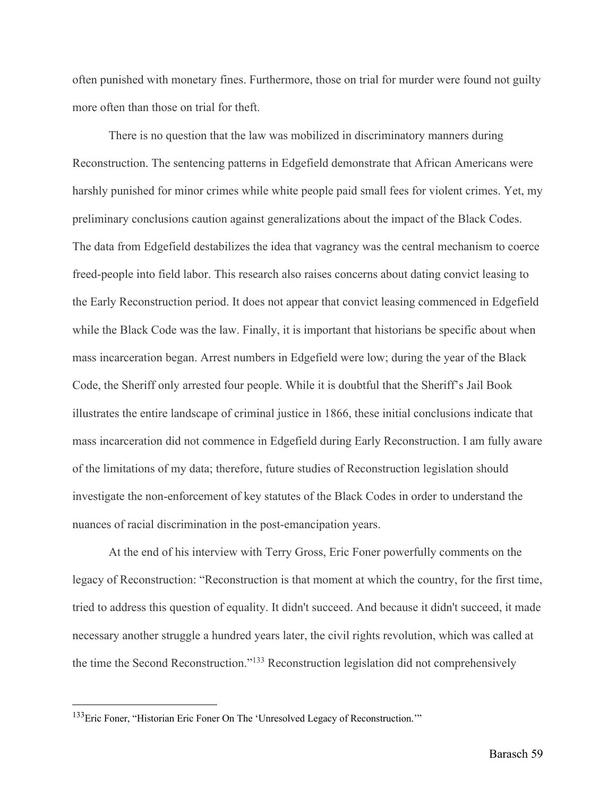often punished with monetary fines. Furthermore, those on trial for murder were found not guilty more often than those on trial for theft.

There is no question that the law was mobilized in discriminatory manners during Reconstruction. The sentencing patterns in Edgefield demonstrate that African Americans were harshly punished for minor crimes while white people paid small fees for violent crimes. Yet, my preliminary conclusions caution against generalizations about the impact of the Black Codes. The data from Edgefield destabilizes the idea that vagrancy was the central mechanism to coerce freed-people into field labor. This research also raises concerns about dating convict leasing to the Early Reconstruction period. It does not appear that convict leasing commenced in Edgefield while the Black Code was the law. Finally, it is important that historians be specific about when mass incarceration began. Arrest numbers in Edgefield were low; during the year of the Black Code, the Sheriff only arrested four people. While it is doubtful that the Sheriff's Jail Book illustrates the entire landscape of criminal justice in 1866, these initial conclusions indicate that mass incarceration did not commence in Edgefield during Early Reconstruction. I am fully aware of the limitations of my data; therefore, future studies of Reconstruction legislation should investigate the non-enforcement of key statutes of the Black Codes in order to understand the nuances of racial discrimination in the post-emancipation years.

At the end of his interview with Terry Gross, Eric Foner powerfully comments on the legacy of Reconstruction: "Reconstruction is that moment at which the country, for the first time, tried to address this question of equality. It didn't succeed. And because it didn't succeed, it made necessary another struggle a hundred years later, the civil rights revolution, which was called at the time the Second Reconstruction."133 Reconstruction legislation did not comprehensively

<sup>&</sup>lt;sup>133</sup>Eric Foner, "Historian Eric Foner On The 'Unresolved Legacy of Reconstruction.""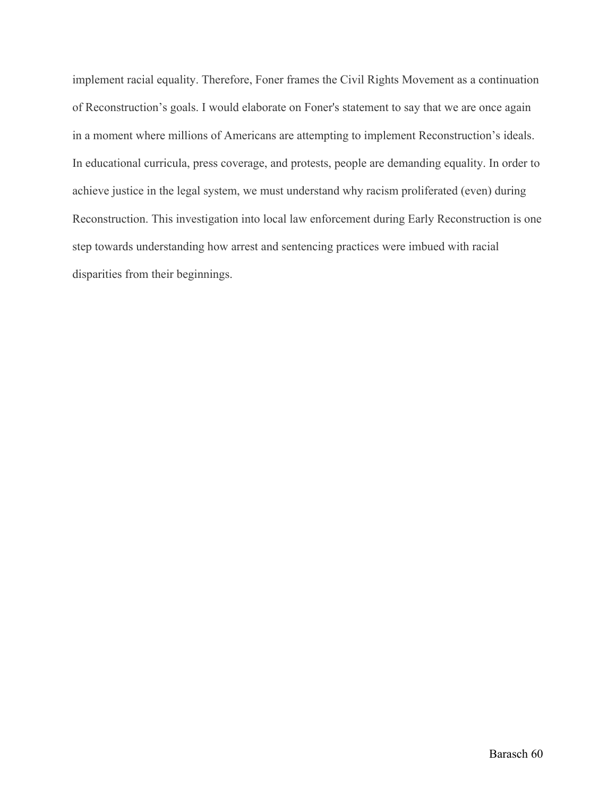implement racial equality. Therefore, Foner frames the Civil Rights Movement as a continuation of Reconstruction's goals. I would elaborate on Foner's statement to say that we are once again in a moment where millions of Americans are attempting to implement Reconstruction's ideals. In educational curricula, press coverage, and protests, people are demanding equality. In order to achieve justice in the legal system, we must understand why racism proliferated (even) during Reconstruction. This investigation into local law enforcement during Early Reconstruction is one step towards understanding how arrest and sentencing practices were imbued with racial disparities from their beginnings.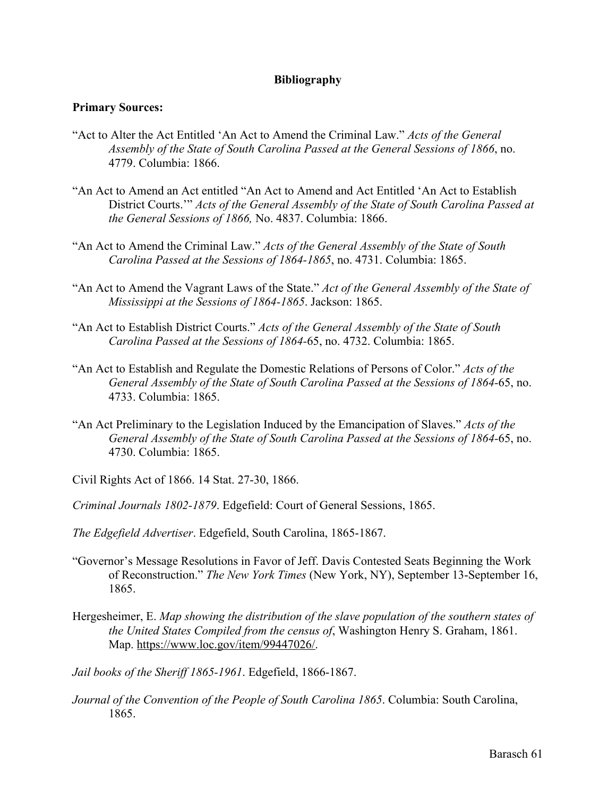### **Bibliography**

### **Primary Sources:**

- "Act to Alter the Act Entitled 'An Act to Amend the Criminal Law." *Acts of the General Assembly of the State of South Carolina Passed at the General Sessions of 1866*, no. 4779. Columbia: 1866.
- "An Act to Amend an Act entitled "An Act to Amend and Act Entitled 'An Act to Establish District Courts.'" *Acts of the General Assembly of the State of South Carolina Passed at the General Sessions of 1866,* No. 4837. Columbia: 1866.
- "An Act to Amend the Criminal Law." *Acts of the General Assembly of the State of South Carolina Passed at the Sessions of 1864-1865*, no. 4731. Columbia: 1865.
- "An Act to Amend the Vagrant Laws of the State." *Act of the General Assembly of the State of Mississippi at the Sessions of 1864-1865*. Jackson: 1865.
- "An Act to Establish District Courts." *Acts of the General Assembly of the State of South Carolina Passed at the Sessions of 1864-*65, no. 4732. Columbia: 1865.
- "An Act to Establish and Regulate the Domestic Relations of Persons of Color." *Acts of the General Assembly of the State of South Carolina Passed at the Sessions of 1864-*65, no. 4733. Columbia: 1865.
- "An Act Preliminary to the Legislation Induced by the Emancipation of Slaves." *Acts of the General Assembly of the State of South Carolina Passed at the Sessions of 1864-*65, no. 4730. Columbia: 1865.
- Civil Rights Act of 1866. 14 Stat. 27-30, 1866.
- *Criminal Journals 1802-1879*. Edgefield: Court of General Sessions, 1865.
- *The Edgefield Advertiser*. Edgefield, South Carolina, 1865-1867.
- "Governor's Message Resolutions in Favor of Jeff. Davis Contested Seats Beginning the Work of Reconstruction." *The New York Times* (New York, NY), September 13-September 16, 1865.
- Hergesheimer, E. *Map showing the distribution of the slave population of the southern states of the United States Compiled from the census of*, Washington Henry S. Graham, 1861. Map. https://www.loc.gov/item/99447026/.

*Jail books of the Sheriff 1865-1961*. Edgefield, 1866-1867.

*Journal of the Convention of the People of South Carolina 1865*. Columbia: South Carolina, 1865.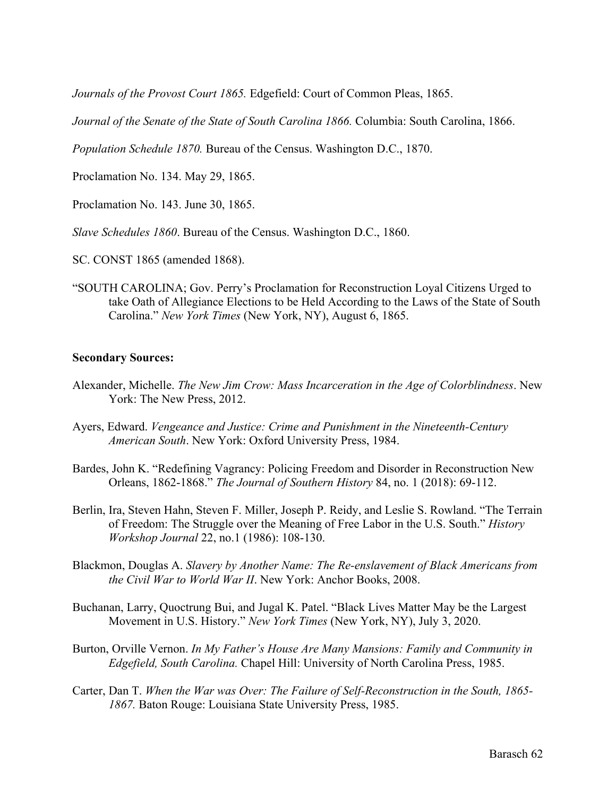*Journals of the Provost Court 1865.* Edgefield: Court of Common Pleas, 1865.

*Journal of the Senate of the State of South Carolina 1866.* Columbia: South Carolina, 1866.

*Population Schedule 1870.* Bureau of the Census. Washington D.C., 1870.

Proclamation No. 134. May 29, 1865.

Proclamation No. 143. June 30, 1865.

*Slave Schedules 1860*. Bureau of the Census. Washington D.C., 1860.

SC. CONST 1865 (amended 1868).

"SOUTH CAROLINA; Gov. Perry's Proclamation for Reconstruction Loyal Citizens Urged to take Oath of Allegiance Elections to be Held According to the Laws of the State of South Carolina." *New York Times* (New York, NY), August 6, 1865.

#### **Secondary Sources:**

- Alexander, Michelle. *The New Jim Crow: Mass Incarceration in the Age of Colorblindness*. New York: The New Press, 2012.
- Ayers, Edward. *Vengeance and Justice: Crime and Punishment in the Nineteenth-Century American South*. New York: Oxford University Press, 1984.
- Bardes, John K. "Redefining Vagrancy: Policing Freedom and Disorder in Reconstruction New Orleans, 1862-1868." *The Journal of Southern History* 84, no. 1 (2018): 69-112.
- Berlin, Ira, Steven Hahn, Steven F. Miller, Joseph P. Reidy, and Leslie S. Rowland. "The Terrain of Freedom: The Struggle over the Meaning of Free Labor in the U.S. South." *History Workshop Journal* 22, no.1 (1986): 108-130.
- Blackmon, Douglas A. *Slavery by Another Name: The Re-enslavement of Black Americans from the Civil War to World War II*. New York: Anchor Books, 2008.
- Buchanan, Larry, Quoctrung Bui, and Jugal K. Patel. "Black Lives Matter May be the Largest Movement in U.S. History." *New York Times* (New York, NY), July 3, 2020.
- Burton, Orville Vernon. *In My Father's House Are Many Mansions: Family and Community in Edgefield, South Carolina.* Chapel Hill: University of North Carolina Press, 1985.
- Carter, Dan T. *When the War was Over: The Failure of Self-Reconstruction in the South, 1865- 1867.* Baton Rouge: Louisiana State University Press, 1985.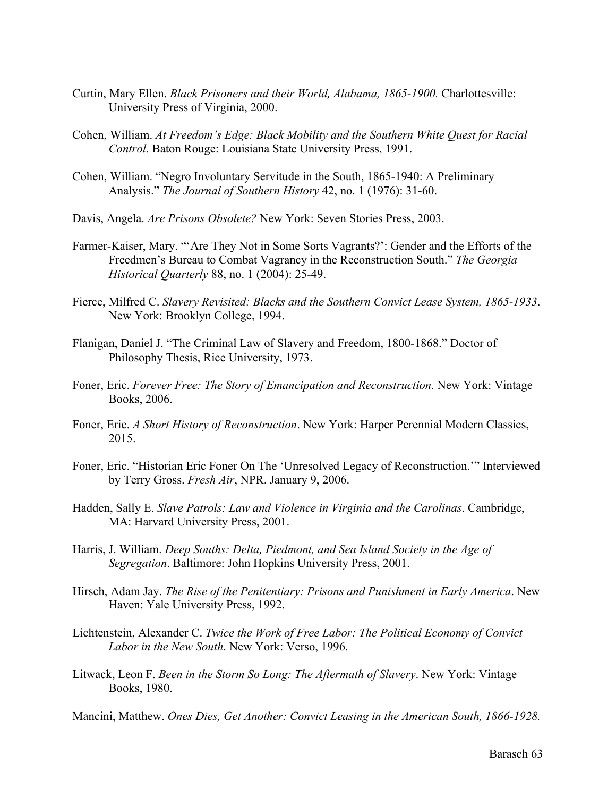- Curtin, Mary Ellen. *Black Prisoners and their World, Alabama, 1865-1900.* Charlottesville: University Press of Virginia, 2000.
- Cohen, William. *At Freedom's Edge: Black Mobility and the Southern White Quest for Racial Control.* Baton Rouge: Louisiana State University Press, 1991.
- Cohen, William. "Negro Involuntary Servitude in the South, 1865-1940: A Preliminary Analysis." *The Journal of Southern History* 42, no. 1 (1976): 31-60.
- Davis, Angela. *Are Prisons Obsolete?* New York: Seven Stories Press, 2003.
- Farmer-Kaiser, Mary. "'Are They Not in Some Sorts Vagrants?': Gender and the Efforts of the Freedmen's Bureau to Combat Vagrancy in the Reconstruction South." *The Georgia Historical Quarterly* 88, no. 1 (2004): 25-49.
- Fierce, Milfred C. *Slavery Revisited: Blacks and the Southern Convict Lease System, 1865-1933*. New York: Brooklyn College, 1994.
- Flanigan, Daniel J. "The Criminal Law of Slavery and Freedom, 1800-1868." Doctor of Philosophy Thesis, Rice University, 1973.
- Foner, Eric. *Forever Free: The Story of Emancipation and Reconstruction*. New York: Vintage Books, 2006.
- Foner, Eric. *A Short History of Reconstruction*. New York: Harper Perennial Modern Classics, 2015.
- Foner, Eric. "Historian Eric Foner On The 'Unresolved Legacy of Reconstruction.'" Interviewed by Terry Gross. *Fresh Air*, NPR. January 9, 2006.
- Hadden, Sally E. *Slave Patrols: Law and Violence in Virginia and the Carolinas*. Cambridge, MA: Harvard University Press, 2001.
- Harris, J. William. *Deep Souths: Delta, Piedmont, and Sea Island Society in the Age of Segregation*. Baltimore: John Hopkins University Press, 2001.
- Hirsch, Adam Jay. *The Rise of the Penitentiary: Prisons and Punishment in Early America*. New Haven: Yale University Press, 1992.
- Lichtenstein, Alexander C. *Twice the Work of Free Labor: The Political Economy of Convict Labor in the New South*. New York: Verso, 1996.
- Litwack, Leon F. *Been in the Storm So Long: The Aftermath of Slavery*. New York: Vintage Books, 1980.
- Mancini, Matthew. *Ones Dies, Get Another: Convict Leasing in the American South, 1866-1928.*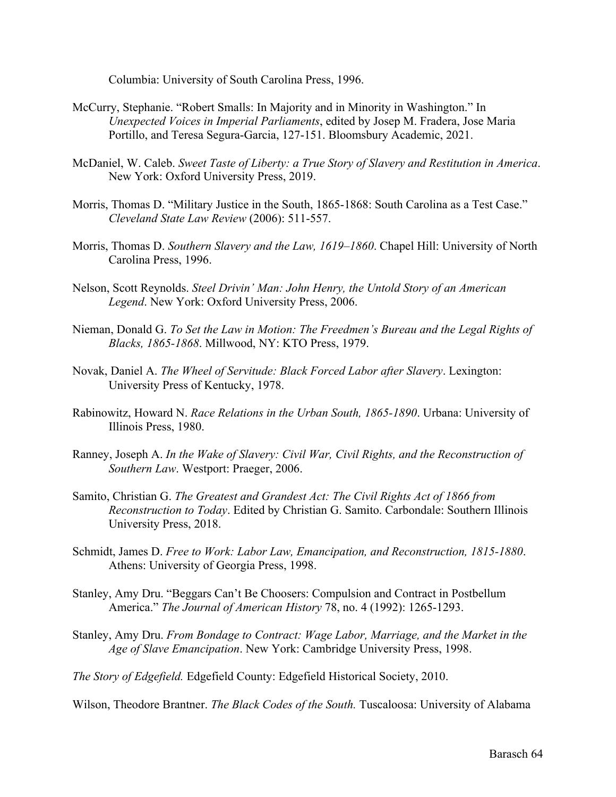Columbia: University of South Carolina Press, 1996.

- McCurry, Stephanie. "Robert Smalls: In Majority and in Minority in Washington." In *Unexpected Voices in Imperial Parliaments*, edited by Josep M. Fradera, Jose Maria Portillo, and Teresa Segura-Garcia, 127-151. Bloomsbury Academic, 2021.
- McDaniel, W. Caleb. *Sweet Taste of Liberty: a True Story of Slavery and Restitution in America*. New York: Oxford University Press, 2019.
- Morris, Thomas D. "Military Justice in the South, 1865-1868: South Carolina as a Test Case." *Cleveland State Law Review* (2006): 511-557.
- Morris, Thomas D. *Southern Slavery and the Law, 1619–1860*. Chapel Hill: University of North Carolina Press, 1996.
- Nelson, Scott Reynolds. *Steel Drivin' Man: John Henry, the Untold Story of an American Legend*. New York: Oxford University Press, 2006.
- Nieman, Donald G. *To Set the Law in Motion: The Freedmen's Bureau and the Legal Rights of Blacks, 1865-1868*. Millwood, NY: KTO Press, 1979.
- Novak, Daniel A. *The Wheel of Servitude: Black Forced Labor after Slavery*. Lexington: University Press of Kentucky, 1978.
- Rabinowitz, Howard N. *Race Relations in the Urban South, 1865-1890*. Urbana: University of Illinois Press, 1980.
- Ranney, Joseph A. *In the Wake of Slavery: Civil War, Civil Rights, and the Reconstruction of Southern Law*. Westport: Praeger, 2006.
- Samito, Christian G. *The Greatest and Grandest Act: The Civil Rights Act of 1866 from Reconstruction to Today*. Edited by Christian G. Samito. Carbondale: Southern Illinois University Press, 2018.
- Schmidt, James D. *Free to Work: Labor Law, Emancipation, and Reconstruction, 1815-1880*. Athens: University of Georgia Press, 1998.
- Stanley, Amy Dru. "Beggars Can't Be Choosers: Compulsion and Contract in Postbellum America." *The Journal of American History* 78, no. 4 (1992): 1265-1293.
- Stanley, Amy Dru. *From Bondage to Contract: Wage Labor, Marriage, and the Market in the Age of Slave Emancipation*. New York: Cambridge University Press, 1998.

*The Story of Edgefield.* Edgefield County: Edgefield Historical Society, 2010.

Wilson, Theodore Brantner. *The Black Codes of the South.* Tuscaloosa: University of Alabama